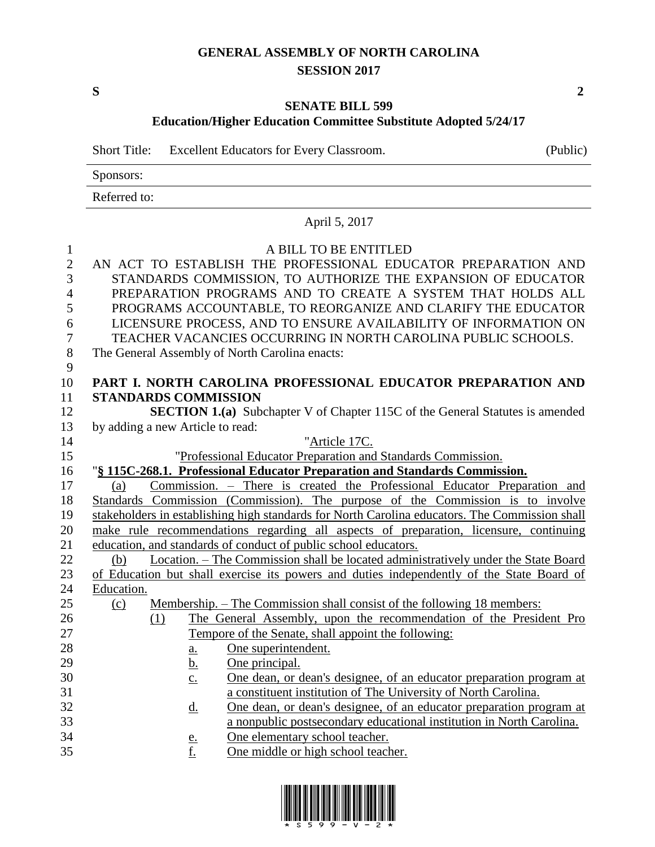# **GENERAL ASSEMBLY OF NORTH CAROLINA SESSION 2017**

**S 2**

## **SENATE BILL 599 Education/Higher Education Committee Substitute Adopted 5/24/17**

Short Title: Excellent Educators for Every Classroom. (Public)

Sponsors:

Referred to:

|                                                                                               | April 5, 2017                                                                                                                                                                                                                                                                                                                                                                                                                                                              |
|-----------------------------------------------------------------------------------------------|----------------------------------------------------------------------------------------------------------------------------------------------------------------------------------------------------------------------------------------------------------------------------------------------------------------------------------------------------------------------------------------------------------------------------------------------------------------------------|
| $\mathbf{1}$<br>$\overline{2}$<br>3<br>$\overline{4}$<br>5<br>6<br>$\boldsymbol{7}$<br>8<br>9 | A BILL TO BE ENTITLED<br>AN ACT TO ESTABLISH THE PROFESSIONAL EDUCATOR PREPARATION AND<br>STANDARDS COMMISSION, TO AUTHORIZE THE EXPANSION OF EDUCATOR<br>PREPARATION PROGRAMS AND TO CREATE A SYSTEM THAT HOLDS ALL<br>PROGRAMS ACCOUNTABLE, TO REORGANIZE AND CLARIFY THE EDUCATOR<br>LICENSURE PROCESS, AND TO ENSURE AVAILABILITY OF INFORMATION ON<br>TEACHER VACANCIES OCCURRING IN NORTH CAROLINA PUBLIC SCHOOLS.<br>The General Assembly of North Carolina enacts: |
| 10                                                                                            | PART I. NORTH CAROLINA PROFESSIONAL EDUCATOR PREPARATION AND                                                                                                                                                                                                                                                                                                                                                                                                               |
| 11                                                                                            | <b>STANDARDS COMMISSION</b>                                                                                                                                                                                                                                                                                                                                                                                                                                                |
| 12                                                                                            | <b>SECTION 1.(a)</b> Subchapter V of Chapter 115C of the General Statutes is amended                                                                                                                                                                                                                                                                                                                                                                                       |
| 13                                                                                            | by adding a new Article to read:                                                                                                                                                                                                                                                                                                                                                                                                                                           |
| 14                                                                                            | "Article 17C.                                                                                                                                                                                                                                                                                                                                                                                                                                                              |
| 15                                                                                            | "Professional Educator Preparation and Standards Commission.                                                                                                                                                                                                                                                                                                                                                                                                               |
| 16                                                                                            | "§ 115C-268.1. Professional Educator Preparation and Standards Commission.                                                                                                                                                                                                                                                                                                                                                                                                 |
| 17                                                                                            | Commission. – There is created the Professional Educator Preparation and<br>(a)                                                                                                                                                                                                                                                                                                                                                                                            |
| 18                                                                                            | Standards Commission (Commission). The purpose of the Commission is to involve                                                                                                                                                                                                                                                                                                                                                                                             |
| 19                                                                                            | stakeholders in establishing high standards for North Carolina educators. The Commission shall                                                                                                                                                                                                                                                                                                                                                                             |
| 20                                                                                            | make rule recommendations regarding all aspects of preparation, licensure, continuing                                                                                                                                                                                                                                                                                                                                                                                      |
| 21                                                                                            | education, and standards of conduct of public school educators.                                                                                                                                                                                                                                                                                                                                                                                                            |
| 22                                                                                            | Location. - The Commission shall be located administratively under the State Board<br>(b)                                                                                                                                                                                                                                                                                                                                                                                  |
| 23                                                                                            | of Education but shall exercise its powers and duties independently of the State Board of                                                                                                                                                                                                                                                                                                                                                                                  |
| 24<br>25                                                                                      | Education.                                                                                                                                                                                                                                                                                                                                                                                                                                                                 |
| 26                                                                                            | Membership. – The Commission shall consist of the following 18 members:<br>(c)                                                                                                                                                                                                                                                                                                                                                                                             |
| 27                                                                                            | The General Assembly, upon the recommendation of the President Pro<br>(1)<br>Tempore of the Senate, shall appoint the following:                                                                                                                                                                                                                                                                                                                                           |
| 28                                                                                            | One superintendent.                                                                                                                                                                                                                                                                                                                                                                                                                                                        |
| 29                                                                                            | $\underline{a}$ .<br>One principal.<br><u>b.</u>                                                                                                                                                                                                                                                                                                                                                                                                                           |
| 30                                                                                            | One dean, or dean's designee, of an educator preparation program at<br>$\underline{c}$ .                                                                                                                                                                                                                                                                                                                                                                                   |
| 31                                                                                            | a constituent institution of The University of North Carolina.                                                                                                                                                                                                                                                                                                                                                                                                             |
| 32                                                                                            | One dean, or dean's designee, of an educator preparation program at<br>$\underline{\mathrm{d}}$ .                                                                                                                                                                                                                                                                                                                                                                          |
| 33                                                                                            | a nonpublic postsecondary educational institution in North Carolina.                                                                                                                                                                                                                                                                                                                                                                                                       |
| 34                                                                                            | One elementary school teacher.<br><u>e.</u>                                                                                                                                                                                                                                                                                                                                                                                                                                |
| 35                                                                                            | f.<br>One middle or high school teacher.                                                                                                                                                                                                                                                                                                                                                                                                                                   |

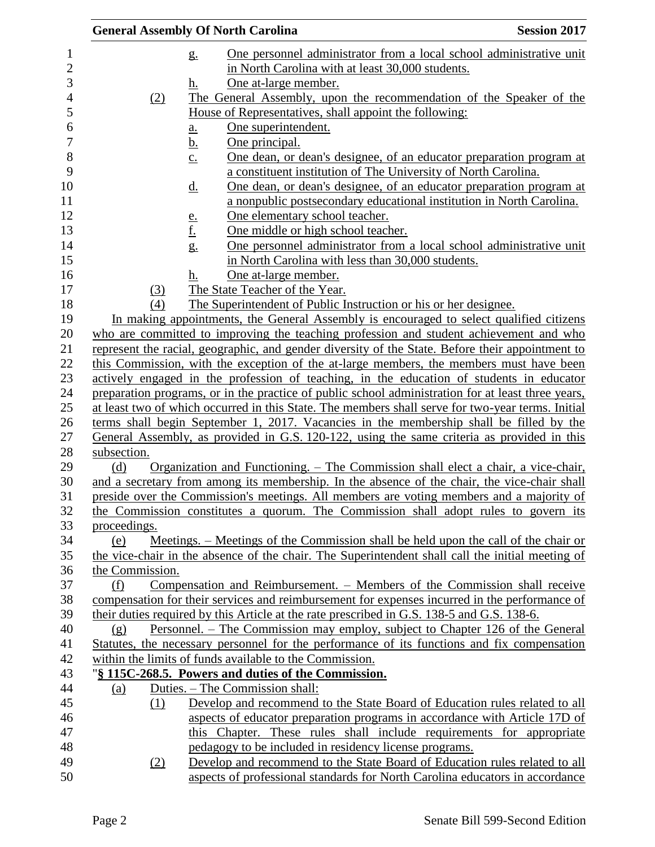| <b>General Assembly Of North Carolina</b> |                                                                                                    | <b>Session 2017</b>                                                                                                                         |
|-------------------------------------------|----------------------------------------------------------------------------------------------------|---------------------------------------------------------------------------------------------------------------------------------------------|
| $g_{\cdot}$                               |                                                                                                    | One personnel administrator from a local school administrative unit                                                                         |
|                                           | in North Carolina with at least 30,000 students.                                                   |                                                                                                                                             |
| h.                                        | One at-large member.                                                                               |                                                                                                                                             |
| (2)                                       | The General Assembly, upon the recommendation of the Speaker of the                                |                                                                                                                                             |
|                                           | House of Representatives, shall appoint the following:                                             |                                                                                                                                             |
| $\underline{\mathbf{a}}$ .                | One superintendent.                                                                                |                                                                                                                                             |
| <u>b.</u>                                 | One principal.                                                                                     |                                                                                                                                             |
| $\underline{c}$ .                         | a constituent institution of The University of North Carolina.                                     | One dean, or dean's designee, of an educator preparation program at                                                                         |
| <u>d.</u>                                 |                                                                                                    | One dean, or dean's designee, of an educator preparation program at<br>a nonpublic postsecondary educational institution in North Carolina. |
| <u>e.</u>                                 | One elementary school teacher.                                                                     |                                                                                                                                             |
| <u>f.</u>                                 | One middle or high school teacher.                                                                 |                                                                                                                                             |
| g.                                        |                                                                                                    | One personnel administrator from a local school administrative unit                                                                         |
|                                           | in North Carolina with less than 30,000 students.                                                  |                                                                                                                                             |
| h.                                        | One at-large member.                                                                               |                                                                                                                                             |
| (3)                                       | The State Teacher of the Year.                                                                     |                                                                                                                                             |
| (4)                                       | The Superintendent of Public Instruction or his or her designee.                                   |                                                                                                                                             |
|                                           | In making appointments, the General Assembly is encouraged to select qualified citizens            |                                                                                                                                             |
|                                           | who are committed to improving the teaching profession and student achievement and who             |                                                                                                                                             |
|                                           | represent the racial, geographic, and gender diversity of the State. Before their appointment to   |                                                                                                                                             |
|                                           | this Commission, with the exception of the at-large members, the members must have been            |                                                                                                                                             |
|                                           | actively engaged in the profession of teaching, in the education of students in educator           |                                                                                                                                             |
|                                           | preparation programs, or in the practice of public school administration for at least three years, |                                                                                                                                             |
|                                           | at least two of which occurred in this State. The members shall serve for two-year terms. Initial  |                                                                                                                                             |
|                                           | terms shall begin September 1, 2017. Vacancies in the membership shall be filled by the            |                                                                                                                                             |
|                                           | General Assembly, as provided in G.S. 120-122, using the same criteria as provided in this         |                                                                                                                                             |
| subsection.                               |                                                                                                    |                                                                                                                                             |
| (d)                                       | <u>Organization and Functioning. – The Commission shall elect a chair, a vice-chair,</u>           |                                                                                                                                             |
|                                           | and a secretary from among its membership. In the absence of the chair, the vice-chair shall       |                                                                                                                                             |
|                                           | preside over the Commission's meetings. All members are voting members and a majority of           |                                                                                                                                             |
|                                           | the Commission constitutes a quorum. The Commission shall adopt rules to govern its                |                                                                                                                                             |
| proceedings.<br>(e)                       | Meetings. – Meetings of the Commission shall be held upon the call of the chair or                 |                                                                                                                                             |
|                                           | the vice-chair in the absence of the chair. The Superintendent shall call the initial meeting of   |                                                                                                                                             |
| the Commission.                           |                                                                                                    |                                                                                                                                             |
| (f)                                       | Compensation and Reimbursement. – Members of the Commission shall receive                          |                                                                                                                                             |
|                                           | compensation for their services and reimbursement for expenses incurred in the performance of      |                                                                                                                                             |
|                                           | their duties required by this Article at the rate prescribed in G.S. 138-5 and G.S. 138-6.         |                                                                                                                                             |
| (g)                                       | Personnel. – The Commission may employ, subject to Chapter 126 of the General                      |                                                                                                                                             |
|                                           | Statutes, the necessary personnel for the performance of its functions and fix compensation        |                                                                                                                                             |
|                                           | within the limits of funds available to the Commission.                                            |                                                                                                                                             |
|                                           | "§ 115C-268.5. Powers and duties of the Commission.                                                |                                                                                                                                             |
| (a)                                       | Duties. – The Commission shall:                                                                    |                                                                                                                                             |
| (1)                                       | Develop and recommend to the State Board of Education rules related to all                         |                                                                                                                                             |
|                                           | aspects of educator preparation programs in accordance with Article 17D of                         |                                                                                                                                             |
|                                           | this Chapter. These rules shall include requirements for appropriate                               |                                                                                                                                             |
|                                           | pedagogy to be included in residency license programs.                                             |                                                                                                                                             |
| (2)                                       | Develop and recommend to the State Board of Education rules related to all                         |                                                                                                                                             |
|                                           | aspects of professional standards for North Carolina educators in accordance                       |                                                                                                                                             |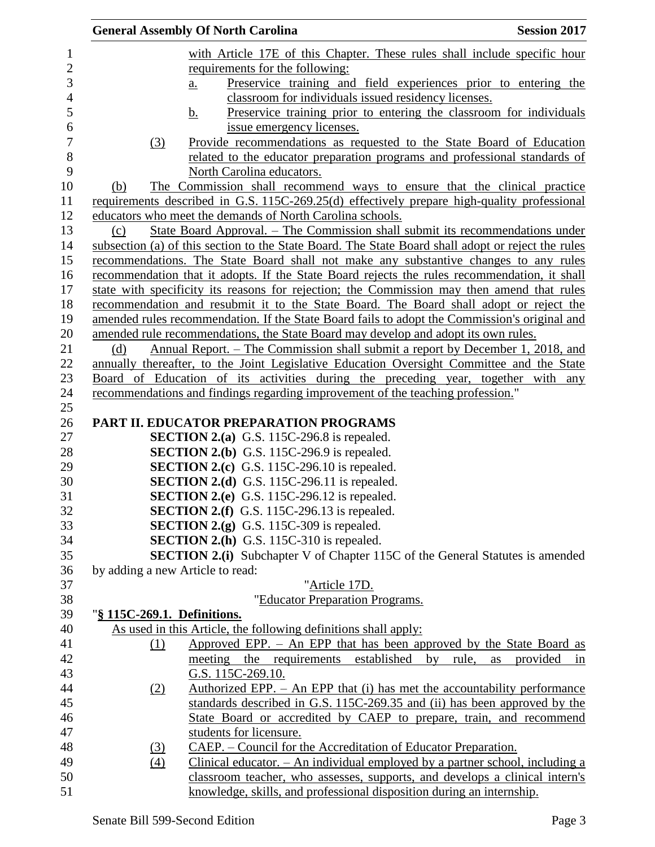|                |                                  | <b>General Assembly Of North Carolina</b>                                                                                                               | <b>Session 2017</b>  |
|----------------|----------------------------------|---------------------------------------------------------------------------------------------------------------------------------------------------------|----------------------|
| $\mathbf{1}$   |                                  | with Article 17E of this Chapter. These rules shall include specific hour                                                                               |                      |
| $\overline{2}$ |                                  | requirements for the following:                                                                                                                         |                      |
| 3              |                                  | Preservice training and field experiences prior to entering the<br>$\underline{a}$ .                                                                    |                      |
| $\overline{4}$ |                                  | classroom for individuals issued residency licenses.                                                                                                    |                      |
| 5              |                                  | Preservice training prior to entering the classroom for individuals<br>$\mathbf b$ .                                                                    |                      |
| 6              |                                  | issue emergency licenses.                                                                                                                               |                      |
| $\overline{7}$ | (3)                              | Provide recommendations as requested to the State Board of Education                                                                                    |                      |
| 8              |                                  | related to the educator preparation programs and professional standards of                                                                              |                      |
| 9              |                                  | North Carolina educators.                                                                                                                               |                      |
| 10             | <u>(b)</u>                       | The Commission shall recommend ways to ensure that the clinical practice                                                                                |                      |
| 11             |                                  | requirements described in G.S. 115C-269.25(d) effectively prepare high-quality professional                                                             |                      |
| 12             |                                  | educators who meet the demands of North Carolina schools.                                                                                               |                      |
| 13             | (c)                              | State Board Approval. – The Commission shall submit its recommendations under                                                                           |                      |
| 14             |                                  | subsection (a) of this section to the State Board. The State Board shall adopt or reject the rules                                                      |                      |
| 15             |                                  | recommendations. The State Board shall not make any substantive changes to any rules                                                                    |                      |
| 16             |                                  | recommendation that it adopts. If the State Board rejects the rules recommendation, it shall                                                            |                      |
| 17             |                                  | state with specificity its reasons for rejection; the Commission may then amend that rules                                                              |                      |
| 18             |                                  | recommendation and resubmit it to the State Board. The Board shall adopt or reject the                                                                  |                      |
| 19             |                                  | amended rules recommendation. If the State Board fails to adopt the Commission's original and                                                           |                      |
| 20             |                                  | amended rule recommendations, the State Board may develop and adopt its own rules.                                                                      |                      |
| 21             | (d)                              | Annual Report. – The Commission shall submit a report by December 1, 2018, and                                                                          |                      |
| 22             |                                  | annually thereafter, to the Joint Legislative Education Oversight Committee and the State                                                               |                      |
| 23             |                                  | Board of Education of its activities during the preceding year, together with any                                                                       |                      |
| 24<br>25       |                                  | recommendations and findings regarding improvement of the teaching profession."                                                                         |                      |
| 26             |                                  | PART II. EDUCATOR PREPARATION PROGRAMS                                                                                                                  |                      |
| 27             |                                  | <b>SECTION 2.(a)</b> G.S. 115C-296.8 is repealed.                                                                                                       |                      |
| 28             |                                  | <b>SECTION 2.(b)</b> G.S. 115C-296.9 is repealed.                                                                                                       |                      |
| 29             |                                  | <b>SECTION 2.(c)</b> G.S. 115C-296.10 is repealed.                                                                                                      |                      |
| 30             |                                  | <b>SECTION 2.(d)</b> G.S. 115C-296.11 is repealed.                                                                                                      |                      |
| 31             |                                  | SECTION 2.(e) G.S. 115C-296.12 is repealed.                                                                                                             |                      |
| 32             |                                  | <b>SECTION 2.(f)</b> G.S. 115C-296.13 is repealed.                                                                                                      |                      |
| 33             |                                  | <b>SECTION 2.(g)</b> G.S. 115C-309 is repealed.                                                                                                         |                      |
| 34             |                                  | <b>SECTION 2.(h)</b> G.S. 115C-310 is repealed.                                                                                                         |                      |
| 35             |                                  | <b>SECTION 2.(i)</b> Subchapter V of Chapter 115C of the General Statutes is amended                                                                    |                      |
| 36             | by adding a new Article to read: |                                                                                                                                                         |                      |
| 37             |                                  | "Article 17D.                                                                                                                                           |                      |
| 38             |                                  | "Educator Preparation Programs.                                                                                                                         |                      |
| 39             | "§ 115C-269.1. Definitions.      |                                                                                                                                                         |                      |
| 40             |                                  | As used in this Article, the following definitions shall apply:                                                                                         |                      |
| 41             | (1)                              | Approved EPP. $-$ An EPP that has been approved by the State Board as                                                                                   |                      |
| 42             |                                  | meeting<br>established<br>the requirements<br>by<br>rule,<br>G.S. 115C-269.10.                                                                          | provided<br>as<br>in |
| 43<br>44       |                                  |                                                                                                                                                         |                      |
| 45             | (2)                              | Authorized EPP. $-$ An EPP that (i) has met the accountability performance<br>standards described in G.S. 115C-269.35 and (ii) has been approved by the |                      |
| 46             |                                  | State Board or accredited by CAEP to prepare, train, and recommend                                                                                      |                      |
| 47             |                                  | students for licensure.                                                                                                                                 |                      |
| 48             | (3)                              | <u> CAEP. – Council for the Accreditation of Educator Preparation.</u>                                                                                  |                      |
| 49             | $\left(4\right)$                 | Clinical educator. $-$ An individual employed by a partner school, including a                                                                          |                      |
| 50             |                                  | classroom teacher, who assesses, supports, and develops a clinical intern's                                                                             |                      |
| 51             |                                  | knowledge, skills, and professional disposition during an internship.                                                                                   |                      |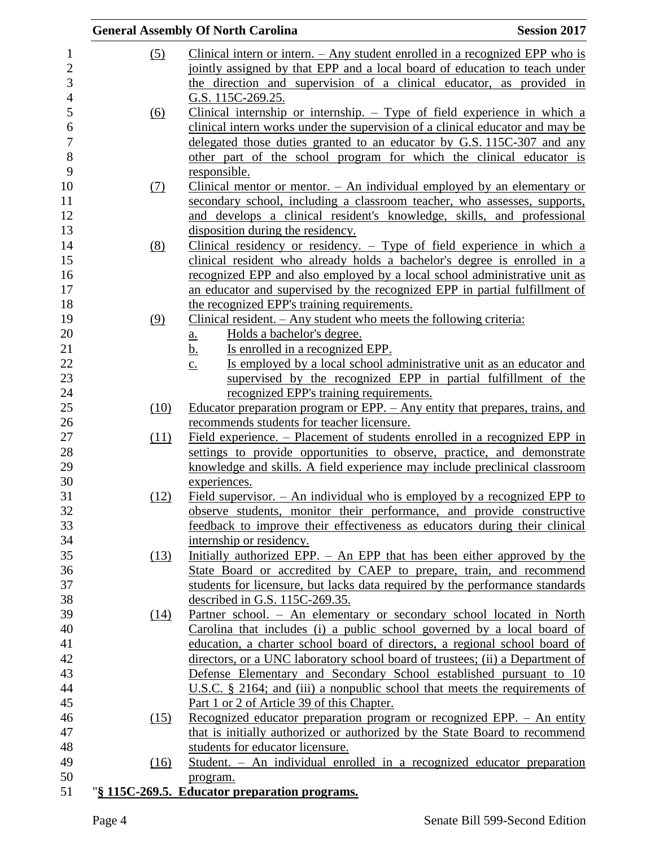|            | <b>Session 2017</b><br><b>General Assembly Of North Carolina</b>                                                                                      |  |
|------------|-------------------------------------------------------------------------------------------------------------------------------------------------------|--|
| (5)        | Clinical intern or intern. $-$ Any student enrolled in a recognized EPP who is                                                                        |  |
|            | jointly assigned by that EPP and a local board of education to teach under                                                                            |  |
|            | the direction and supervision of a clinical educator, as provided in                                                                                  |  |
|            | G.S. 115C-269.25.                                                                                                                                     |  |
| (6)        | Clinical internship or internship. $-$ Type of field experience in which a                                                                            |  |
|            | clinical intern works under the supervision of a clinical educator and may be                                                                         |  |
|            | delegated those duties granted to an educator by G.S. 115C-307 and any                                                                                |  |
|            | other part of the school program for which the clinical educator is                                                                                   |  |
|            | responsible.                                                                                                                                          |  |
| <u>(7)</u> | Clinical mentor or mentor. $-$ An individual employed by an elementary or                                                                             |  |
|            | secondary school, including a classroom teacher, who assesses, supports,                                                                              |  |
|            | and develops a clinical resident's knowledge, skills, and professional                                                                                |  |
|            | disposition during the residency.                                                                                                                     |  |
|            | Clinical residency or residency. $-$ Type of field experience in which a                                                                              |  |
| (8)        |                                                                                                                                                       |  |
|            | clinical resident who already holds a bachelor's degree is enrolled in a                                                                              |  |
|            | recognized EPP and also employed by a local school administrative unit as                                                                             |  |
|            | an educator and supervised by the recognized EPP in partial fulfillment of                                                                            |  |
|            | the recognized EPP's training requirements.                                                                                                           |  |
| (9)        | <u>Clinical resident. – Any student who meets the following criteria:</u>                                                                             |  |
|            | Holds a bachelor's degree.<br><u>a.</u>                                                                                                               |  |
|            | <u>b.</u><br>Is enrolled in a recognized EPP.                                                                                                         |  |
|            | Is employed by a local school administrative unit as an educator and<br>$\underline{c}$ .                                                             |  |
|            | supervised by the recognized EPP in partial fulfillment of the                                                                                        |  |
|            | recognized EPP's training requirements.                                                                                                               |  |
| (10)       | Educator preparation program or EPP. - Any entity that prepares, trains, and                                                                          |  |
|            | recommends students for teacher licensure.                                                                                                            |  |
| (11)       | <u>Field experience. – Placement of students enrolled in a recognized EPP in</u>                                                                      |  |
|            | settings to provide opportunities to observe, practice, and demonstrate<br>knowledge and skills. A field experience may include preclinical classroom |  |
|            | experiences.                                                                                                                                          |  |
| (12)       | Field supervisor. $-$ An individual who is employed by a recognized EPP to                                                                            |  |
|            | observe students, monitor their performance, and provide constructive                                                                                 |  |
|            | feedback to improve their effectiveness as educators during their clinical                                                                            |  |
|            | internship or residency.                                                                                                                              |  |
| (13)       | Initially authorized EPP. – An EPP that has been either approved by the                                                                               |  |
|            | State Board or accredited by CAEP to prepare, train, and recommend                                                                                    |  |
|            | students for licensure, but lacks data required by the performance standards                                                                          |  |
|            | described in G.S. 115C-269.35.                                                                                                                        |  |
|            | Partner school. - An elementary or secondary school located in North                                                                                  |  |
| (14)       | Carolina that includes (i) a public school governed by a local board of                                                                               |  |
|            | education, a charter school board of directors, a regional school board of                                                                            |  |
|            | directors, or a UNC laboratory school board of trustees; (ii) a Department of                                                                         |  |
|            | Defense Elementary and Secondary School established pursuant to 10                                                                                    |  |
|            | U.S.C. $\S$ 2164; and (iii) a nonpublic school that meets the requirements of                                                                         |  |
|            | Part 1 or 2 of Article 39 of this Chapter.                                                                                                            |  |
|            | Recognized educator preparation program or recognized EPP. - An entity                                                                                |  |
| (15)       | that is initially authorized or authorized by the State Board to recommend                                                                            |  |
|            | students for educator licensure.                                                                                                                      |  |
| (16)       | Student. - An individual enrolled in a recognized educator preparation                                                                                |  |
|            |                                                                                                                                                       |  |
|            | program.<br>"§ 115C-269.5. Educator preparation programs.                                                                                             |  |
|            |                                                                                                                                                       |  |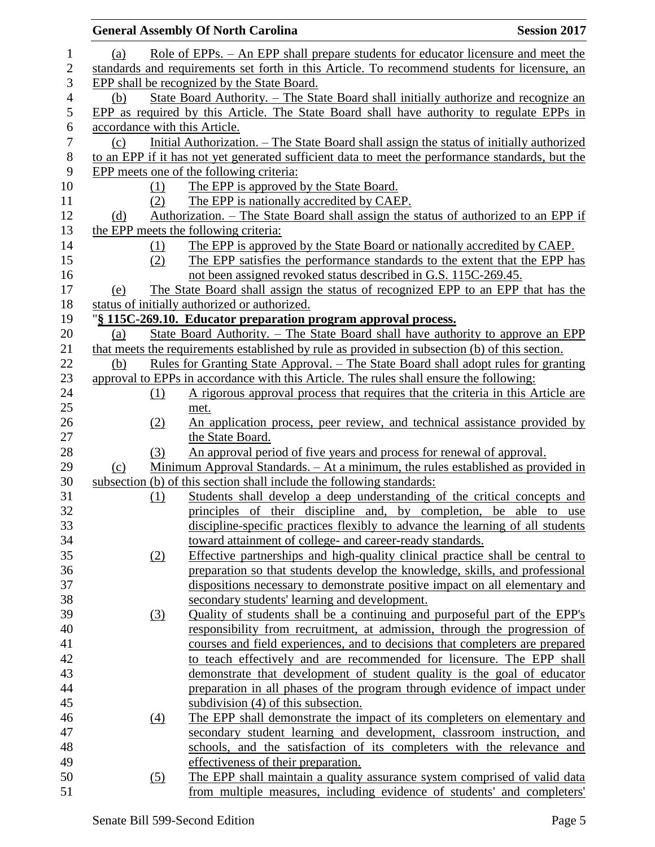|                |     |     | <b>General Assembly Of North Carolina</b>                                                        | <b>Session 2017</b> |
|----------------|-----|-----|--------------------------------------------------------------------------------------------------|---------------------|
| 1              | (a) |     | Role of EPPs. – An EPP shall prepare students for educator licensure and meet the                |                     |
| $\overline{c}$ |     |     | standards and requirements set forth in this Article. To recommend students for licensure, an    |                     |
| 3              |     |     | EPP shall be recognized by the State Board.                                                      |                     |
| $\overline{4}$ | (b) |     | State Board Authority. - The State Board shall initially authorize and recognize an              |                     |
| 5              |     |     | EPP as required by this Article. The State Board shall have authority to regulate EPPs in        |                     |
| 6              |     |     | accordance with this Article.                                                                    |                     |
| $\tau$         | (c) |     | Initial Authorization. - The State Board shall assign the status of initially authorized         |                     |
| 8              |     |     | to an EPP if it has not yet generated sufficient data to meet the performance standards, but the |                     |
| 9              |     |     | EPP meets one of the following criteria:                                                         |                     |
| 10             |     | (1) | The EPP is approved by the State Board.                                                          |                     |
| 11             |     | (2) | The EPP is nationally accredited by CAEP.                                                        |                     |
| 12             | (d) |     | <u>Authorization. – The State Board shall assign the status of authorized to an EPP if</u>       |                     |
| 13             |     |     | the EPP meets the following criteria:                                                            |                     |
| 14             |     | (1) | The EPP is approved by the State Board or nationally accredited by CAEP.                         |                     |
| 15             |     | (2) | The EPP satisfies the performance standards to the extent that the EPP has                       |                     |
| 16             |     |     | not been assigned revoked status described in G.S. 115C-269.45.                                  |                     |
| 17             | (e) |     | The State Board shall assign the status of recognized EPP to an EPP that has the                 |                     |
| 18             |     |     | status of initially authorized or authorized.                                                    |                     |
| 19             |     |     | "§ 115C-269.10. Educator preparation program approval process.                                   |                     |
| 20             | (a) |     | State Board Authority. - The State Board shall have authority to approve an EPP                  |                     |
| 21             |     |     | that meets the requirements established by rule as provided in subsection (b) of this section.   |                     |
| 22             | (b) |     | <u>Rules for Granting State Approval. – The State Board shall adopt rules for granting</u>       |                     |
| 23             |     |     | approval to EPPs in accordance with this Article. The rules shall ensure the following:          |                     |
| 24             |     | (1) | A rigorous approval process that requires that the criteria in this Article are                  |                     |
| 25             |     |     | met.                                                                                             |                     |
| 26             |     | (2) | An application process, peer review, and technical assistance provided by                        |                     |
| 27             |     |     | the State Board.                                                                                 |                     |
| 28             |     | (3) | An approval period of five years and process for renewal of approval.                            |                     |
| 29             | (c) |     | Minimum Approval Standards. - At a minimum, the rules established as provided in                 |                     |
| 30             |     |     | subsection (b) of this section shall include the following standards:                            |                     |
| 31             |     | (1) | Students shall develop a deep understanding of the critical concepts and                         |                     |
| 32             |     |     | principles of their discipline and, by completion, be able to use                                |                     |
| 33             |     |     | discipline-specific practices flexibly to advance the learning of all students                   |                     |
| 34             |     |     | toward attainment of college- and career-ready standards.                                        |                     |
| 35             |     | (2) | Effective partnerships and high-quality clinical practice shall be central to                    |                     |
| 36             |     |     | preparation so that students develop the knowledge, skills, and professional                     |                     |
| 37             |     |     | dispositions necessary to demonstrate positive impact on all elementary and                      |                     |
| 38             |     |     | secondary students' learning and development.                                                    |                     |
| 39             |     | (3) | Quality of students shall be a continuing and purposeful part of the EPP's                       |                     |
| 40             |     |     | responsibility from recruitment, at admission, through the progression of                        |                     |
| 41             |     |     | courses and field experiences, and to decisions that completers are prepared                     |                     |
| 42             |     |     | to teach effectively and are recommended for licensure. The EPP shall                            |                     |
| 43             |     |     | demonstrate that development of student quality is the goal of educator                          |                     |
| 44             |     |     | preparation in all phases of the program through evidence of impact under                        |                     |
| 45             |     |     | subdivision (4) of this subsection.                                                              |                     |
| 46             |     | (4) | The EPP shall demonstrate the impact of its completers on elementary and                         |                     |
| 47             |     |     | secondary student learning and development, classroom instruction, and                           |                     |
| 48             |     |     | schools, and the satisfaction of its completers with the relevance and                           |                     |
| 49             |     |     | effectiveness of their preparation.                                                              |                     |
| 50             |     | (5) | The EPP shall maintain a quality assurance system comprised of valid data                        |                     |
| 51             |     |     | from multiple measures, including evidence of students' and completers'                          |                     |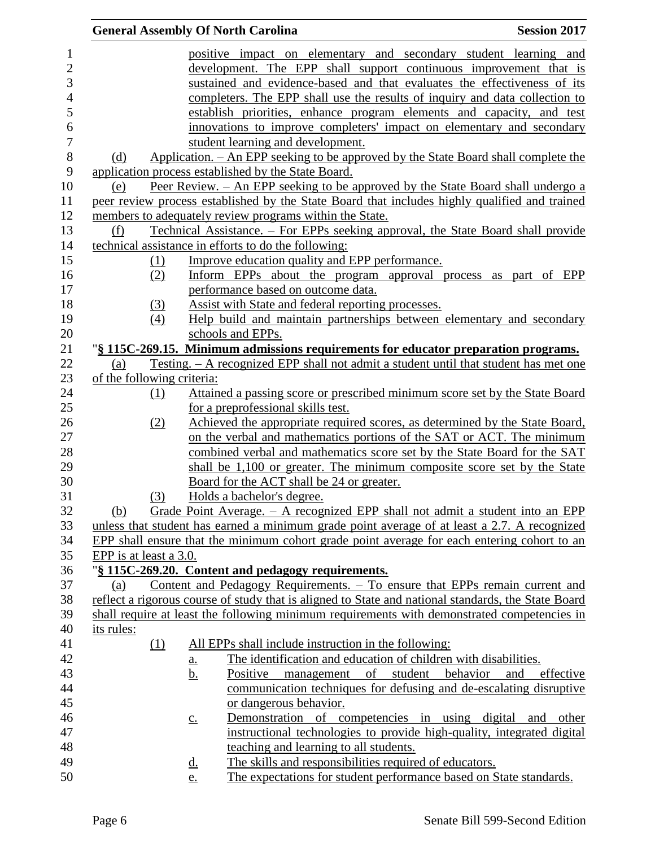|            |                            |                   | <b>General Assembly Of North Carolina</b>                                                           | <b>Session 2017</b>                                                    |
|------------|----------------------------|-------------------|-----------------------------------------------------------------------------------------------------|------------------------------------------------------------------------|
|            |                            |                   | positive impact on elementary and secondary student learning and                                    |                                                                        |
|            |                            |                   | development. The EPP shall support continuous improvement that is                                   |                                                                        |
|            |                            |                   | sustained and evidence-based and that evaluates the effectiveness of its                            |                                                                        |
|            |                            |                   | completers. The EPP shall use the results of inquiry and data collection to                         |                                                                        |
|            |                            |                   | establish priorities, enhance program elements and capacity, and test                               |                                                                        |
|            |                            |                   | innovations to improve completers' impact on elementary and secondary                               |                                                                        |
|            |                            |                   | student learning and development.                                                                   |                                                                        |
| (d)        |                            |                   | Application. – An EPP seeking to be approved by the State Board shall complete the                  |                                                                        |
|            |                            |                   | application process established by the State Board.                                                 |                                                                        |
| (e)        |                            |                   | Peer Review. - An EPP seeking to be approved by the State Board shall undergo a                     |                                                                        |
|            |                            |                   | peer review process established by the State Board that includes highly qualified and trained       |                                                                        |
|            |                            |                   | members to adequately review programs within the State.                                             |                                                                        |
| (f)        |                            |                   | Technical Assistance. - For EPPs seeking approval, the State Board shall provide                    |                                                                        |
|            |                            |                   | technical assistance in efforts to do the following:                                                |                                                                        |
|            | (1)                        |                   | Improve education quality and EPP performance.                                                      |                                                                        |
|            | (2)                        |                   | Inform EPPs about the program approval process as part of EPP                                       |                                                                        |
|            |                            |                   | performance based on outcome data.                                                                  |                                                                        |
|            | (3)                        |                   | Assist with State and federal reporting processes.                                                  |                                                                        |
|            | (4)                        |                   | Help build and maintain partnerships between elementary and secondary                               |                                                                        |
|            |                            |                   | schools and EPPs.                                                                                   |                                                                        |
|            |                            |                   | "§ 115C-269.15. Minimum admissions requirements for educator preparation programs.                  |                                                                        |
| (a)        |                            |                   | <u>Testing. – A recognized EPP shall not admit a student until that student has met one</u>         |                                                                        |
|            | of the following criteria: |                   |                                                                                                     |                                                                        |
|            | (1)                        |                   | Attained a passing score or prescribed minimum score set by the State Board                         |                                                                        |
|            |                            |                   | for a preprofessional skills test.                                                                  |                                                                        |
|            | (2)                        |                   | Achieved the appropriate required scores, as determined by the State Board,                         |                                                                        |
|            |                            |                   | on the verbal and mathematics portions of the SAT or ACT. The minimum                               |                                                                        |
|            |                            |                   | combined verbal and mathematics score set by the State Board for the SAT                            |                                                                        |
|            |                            |                   | shall be 1,100 or greater. The minimum composite score set by the State                             |                                                                        |
|            |                            |                   | Board for the ACT shall be 24 or greater.                                                           |                                                                        |
|            | (3)                        |                   | Holds a bachelor's degree.                                                                          |                                                                        |
| (b)        |                            |                   | Grade Point Average. $-$ A recognized EPP shall not admit a student into an EPP                     |                                                                        |
|            |                            |                   | unless that student has earned a minimum grade point average of at least a 2.7. A recognized        |                                                                        |
|            |                            |                   | EPP shall ensure that the minimum cohort grade point average for each entering cohort to an         |                                                                        |
|            | EPP is at least a 3.0.     |                   |                                                                                                     |                                                                        |
|            |                            |                   | "§ 115C-269.20. Content and pedagogy requirements.                                                  |                                                                        |
| (a)        |                            |                   | Content and Pedagogy Requirements. - To ensure that EPPs remain current and                         |                                                                        |
|            |                            |                   | reflect a rigorous course of study that is aligned to State and national standards, the State Board |                                                                        |
|            |                            |                   | shall require at least the following minimum requirements with demonstrated competencies in         |                                                                        |
| its rules: |                            |                   |                                                                                                     |                                                                        |
|            | (1)                        |                   | All EPPs shall include instruction in the following:                                                |                                                                        |
|            |                            | a.                | The identification and education of children with disabilities.                                     |                                                                        |
|            |                            | <u>b.</u>         | Positive management of student behavior                                                             | and<br>effective                                                       |
|            |                            |                   |                                                                                                     | communication techniques for defusing and de-escalating disruptive     |
|            |                            |                   | or dangerous behavior.                                                                              |                                                                        |
|            |                            | $\underline{c}$ . |                                                                                                     | Demonstration of competencies in using digital and other               |
|            |                            |                   |                                                                                                     | instructional technologies to provide high-quality, integrated digital |
|            |                            |                   | teaching and learning to all students.                                                              |                                                                        |
|            |                            | <u>d.</u>         | The skills and responsibilities required of educators.                                              |                                                                        |
|            |                            | e.                | The expectations for student performance based on State standards.                                  |                                                                        |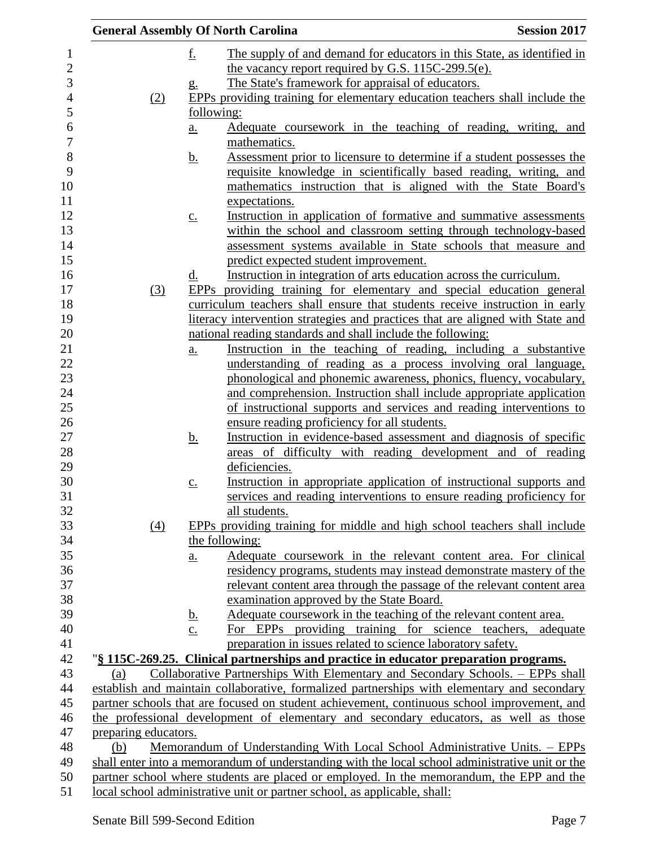|                      |     |                   | <b>General Assembly Of North Carolina</b>                                                       | <b>Session 2017</b> |
|----------------------|-----|-------------------|-------------------------------------------------------------------------------------------------|---------------------|
|                      |     | <u>f.</u>         | The supply of and demand for educators in this State, as identified in                          |                     |
|                      |     |                   | the vacancy report required by G.S. 115C-299.5(e).                                              |                     |
|                      |     | g.                | The State's framework for appraisal of educators.                                               |                     |
|                      | (2) |                   | EPPs providing training for elementary education teachers shall include the                     |                     |
|                      |     | following:        |                                                                                                 |                     |
|                      |     | a.                | Adequate coursework in the teaching of reading, writing, and                                    |                     |
|                      |     |                   | mathematics.                                                                                    |                     |
|                      |     | <u>b.</u>         | Assessment prior to licensure to determine if a student possesses the                           |                     |
|                      |     |                   | requisite knowledge in scientifically based reading, writing, and                               |                     |
|                      |     |                   | mathematics instruction that is aligned with the State Board's                                  |                     |
|                      |     |                   | expectations.                                                                                   |                     |
|                      |     | $\underline{c}$ . | Instruction in application of formative and summative assessments                               |                     |
|                      |     |                   | within the school and classroom setting through technology-based                                |                     |
|                      |     |                   | assessment systems available in State schools that measure and                                  |                     |
|                      |     |                   | predict expected student improvement.                                                           |                     |
|                      |     | <u>d.</u>         | Instruction in integration of arts education across the curriculum.                             |                     |
|                      | (3) |                   | EPPs providing training for elementary and special education general                            |                     |
|                      |     |                   | curriculum teachers shall ensure that students receive instruction in early                     |                     |
|                      |     |                   | literacy intervention strategies and practices that are aligned with State and                  |                     |
|                      |     |                   | national reading standards and shall include the following:                                     |                     |
|                      |     | a.                | Instruction in the teaching of reading, including a substantive                                 |                     |
|                      |     |                   | understanding of reading as a process involving oral language,                                  |                     |
|                      |     |                   | phonological and phonemic awareness, phonics, fluency, vocabulary,                              |                     |
|                      |     |                   | and comprehension. Instruction shall include appropriate application                            |                     |
|                      |     |                   | of instructional supports and services and reading interventions to                             |                     |
|                      |     |                   | ensure reading proficiency for all students.                                                    |                     |
|                      |     | <u>b.</u>         | Instruction in evidence-based assessment and diagnosis of specific                              |                     |
|                      |     |                   | areas of difficulty with reading development and of reading                                     |                     |
|                      |     |                   | deficiencies.                                                                                   |                     |
|                      |     | $\underline{c}$ . | Instruction in appropriate application of instructional supports and                            |                     |
|                      |     |                   | services and reading interventions to ensure reading proficiency for                            |                     |
|                      |     |                   | all students.                                                                                   |                     |
|                      | (4) |                   | EPPs providing training for middle and high school teachers shall include                       |                     |
|                      |     |                   | the following:                                                                                  |                     |
|                      |     | <u>a.</u>         | Adequate coursework in the relevant content area. For clinical                                  |                     |
|                      |     |                   | residency programs, students may instead demonstrate mastery of the                             |                     |
|                      |     |                   | relevant content area through the passage of the relevant content area                          |                     |
|                      |     |                   | examination approved by the State Board.                                                        |                     |
|                      |     | <u>b.</u>         | Adequate coursework in the teaching of the relevant content area.                               |                     |
|                      |     | $\underline{c}$ . | For EPPs providing training for science teachers,                                               | adequate            |
|                      |     |                   | preparation in issues related to science laboratory safety.                                     |                     |
|                      |     |                   | "§ 115C-269.25. Clinical partnerships and practice in educator preparation programs.            |                     |
| (a)                  |     |                   | Collaborative Partnerships With Elementary and Secondary Schools. – EPPs shall                  |                     |
|                      |     |                   | establish and maintain collaborative, formalized partnerships with elementary and secondary     |                     |
|                      |     |                   | partner schools that are focused on student achievement, continuous school improvement, and     |                     |
|                      |     |                   | the professional development of elementary and secondary educators, as well as those            |                     |
| preparing educators. |     |                   |                                                                                                 |                     |
| (b)                  |     |                   | <u>Memorandum of Understanding With Local School Administrative Units. – EPPs</u>               |                     |
|                      |     |                   | shall enter into a memorandum of understanding with the local school administrative unit or the |                     |
|                      |     |                   | partner school where students are placed or employed. In the memorandum, the EPP and the        |                     |
|                      |     |                   | local school administrative unit or partner school, as applicable, shall:                       |                     |
|                      |     |                   |                                                                                                 |                     |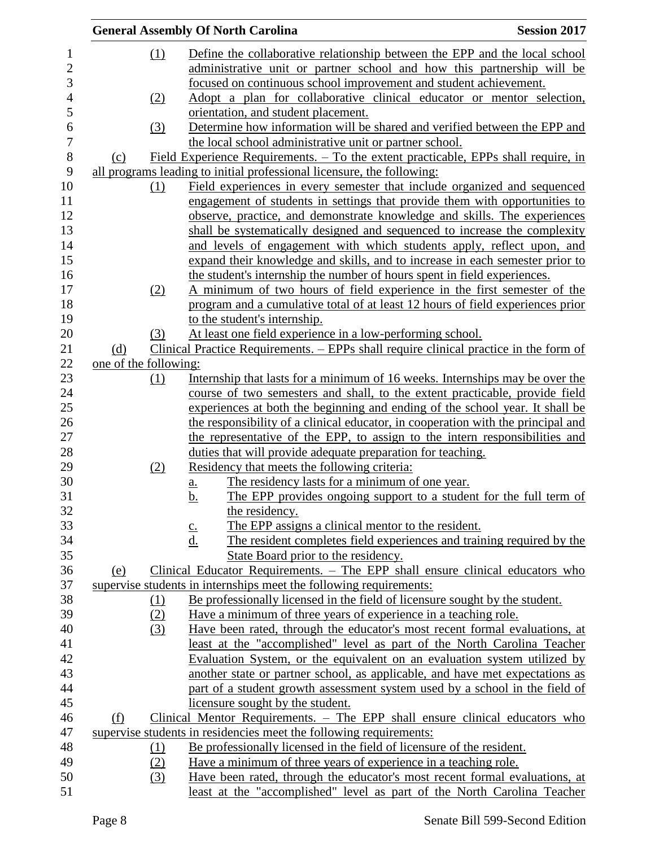|                |                       |            | <b>General Assembly Of North Carolina</b>                                                           | <b>Session 2017</b> |
|----------------|-----------------------|------------|-----------------------------------------------------------------------------------------------------|---------------------|
| $\mathbf 1$    |                       | (1)        | Define the collaborative relationship between the EPP and the local school                          |                     |
| $\mathbf{2}$   |                       |            | administrative unit or partner school and how this partnership will be                              |                     |
| $\mathfrak{Z}$ |                       |            | focused on continuous school improvement and student achievement.                                   |                     |
| $\overline{4}$ |                       | (2)        | Adopt a plan for collaborative clinical educator or mentor selection,                               |                     |
| 5              |                       |            | orientation, and student placement.                                                                 |                     |
| 6              |                       | (3)        | Determine how information will be shared and verified between the EPP and                           |                     |
| $\overline{7}$ |                       |            | the local school administrative unit or partner school.                                             |                     |
| $8\,$          | (c)                   |            | Field Experience Requirements. - To the extent practicable, EPPs shall require, in                  |                     |
| 9              |                       |            | all programs leading to initial professional licensure, the following:                              |                     |
| 10             |                       | (1)        | Field experiences in every semester that include organized and sequenced                            |                     |
| 11             |                       |            | engagement of students in settings that provide them with opportunities to                          |                     |
| 12             |                       |            | observe, practice, and demonstrate knowledge and skills. The experiences                            |                     |
| 13             |                       |            | shall be systematically designed and sequenced to increase the complexity                           |                     |
| 14             |                       |            | and levels of engagement with which students apply, reflect upon, and                               |                     |
| 15             |                       |            | expand their knowledge and skills, and to increase in each semester prior to                        |                     |
| 16             |                       |            |                                                                                                     |                     |
|                |                       |            | the student's internship the number of hours spent in field experiences.                            |                     |
| 17<br>18       |                       | (2)        | A minimum of two hours of field experience in the first semester of the                             |                     |
| 19             |                       |            | program and a cumulative total of at least 12 hours of field experiences prior                      |                     |
| 20             |                       | (3)        | to the student's internship.<br>At least one field experience in a low-performing school.           |                     |
| 21             |                       |            |                                                                                                     |                     |
|                | (d)                   |            | Clinical Practice Requirements. – EPPs shall require clinical practice in the form of               |                     |
| 22             | one of the following: |            |                                                                                                     |                     |
| 23             |                       | (1)        | Internship that lasts for a minimum of 16 weeks. Internships may be over the                        |                     |
| 24             |                       |            | course of two semesters and shall, to the extent practicable, provide field                         |                     |
| 25             |                       |            | experiences at both the beginning and ending of the school year. It shall be                        |                     |
| 26             |                       |            | the responsibility of a clinical educator, in cooperation with the principal and                    |                     |
| 27             |                       |            | the representative of the EPP, to assign to the intern responsibilities and                         |                     |
| 28             |                       |            | duties that will provide adequate preparation for teaching.                                         |                     |
| 29             |                       | (2)        | Residency that meets the following criteria:                                                        |                     |
| 30<br>31       |                       |            | The residency lasts for a minimum of one year.<br>a.                                                |                     |
| 32             |                       |            | b.<br>The EPP provides ongoing support to a student for the full term of                            |                     |
|                |                       |            | the residency.                                                                                      |                     |
| 33             |                       |            | The EPP assigns a clinical mentor to the resident.<br>$\underline{c}$ .                             |                     |
| 34             |                       |            | $\underline{\mathrm{d}}$ .<br>The resident completes field experiences and training required by the |                     |
| 35             |                       |            | State Board prior to the residency.                                                                 |                     |
| 36             | (e)                   |            | Clinical Educator Requirements. - The EPP shall ensure clinical educators who                       |                     |
| 37             |                       |            | supervise students in internships meet the following requirements:                                  |                     |
| 38             |                       | (1)        | Be professionally licensed in the field of licensure sought by the student.                         |                     |
| 39             |                       | (2)        | Have a minimum of three years of experience in a teaching role.                                     |                     |
| 40             |                       | (3)        | Have been rated, through the educator's most recent formal evaluations, at                          |                     |
| 41             |                       |            | least at the "accomplished" level as part of the North Carolina Teacher                             |                     |
| 42             |                       |            | Evaluation System, or the equivalent on an evaluation system utilized by                            |                     |
| 43             |                       |            | another state or partner school, as applicable, and have met expectations as                        |                     |
| 44             |                       |            | part of a student growth assessment system used by a school in the field of                         |                     |
| 45             |                       |            | licensure sought by the student.                                                                    |                     |
| 46             | (f)                   |            | Clinical Mentor Requirements. - The EPP shall ensure clinical educators who                         |                     |
| 47             |                       |            | supervise students in residencies meet the following requirements:                                  |                     |
| 48             |                       | <u>(1)</u> | Be professionally licensed in the field of licensure of the resident.                               |                     |
| 49             |                       | (2)        | Have a minimum of three years of experience in a teaching role.                                     |                     |
| 50             |                       | (3)        | Have been rated, through the educator's most recent formal evaluations, at                          |                     |
| 51             |                       |            | least at the "accomplished" level as part of the North Carolina Teacher                             |                     |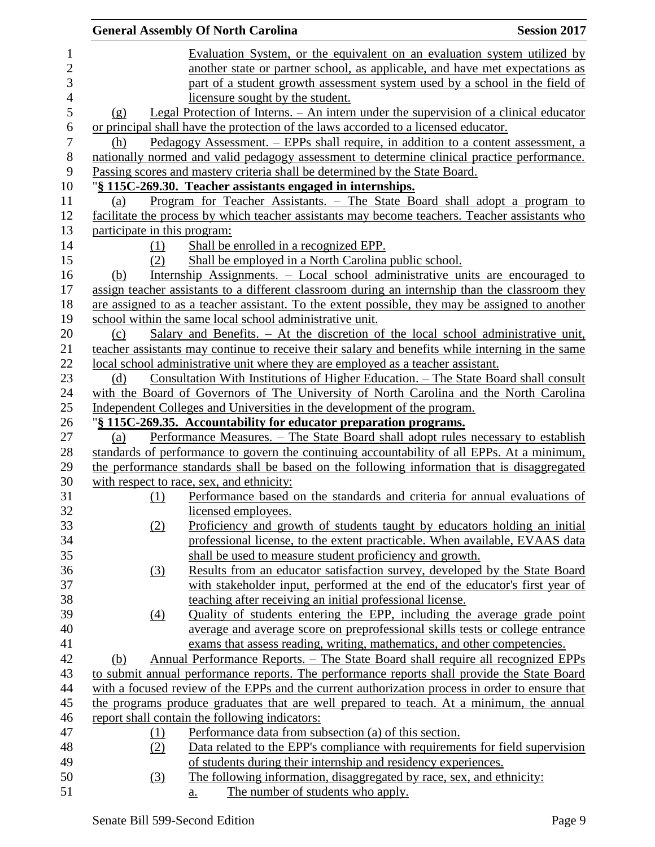|                |                              | <b>General Assembly Of North Carolina</b>                                                        | <b>Session 2017</b> |
|----------------|------------------------------|--------------------------------------------------------------------------------------------------|---------------------|
| $\mathbf{1}$   |                              | Evaluation System, or the equivalent on an evaluation system utilized by                         |                     |
| $\mathbf{2}$   |                              | another state or partner school, as applicable, and have met expectations as                     |                     |
| 3              |                              | part of a student growth assessment system used by a school in the field of                      |                     |
| $\overline{4}$ |                              | licensure sought by the student.                                                                 |                     |
| 5              | (g)                          | Legal Protection of Interns. – An intern under the supervision of a clinical educator            |                     |
| 6              |                              | or principal shall have the protection of the laws accorded to a licensed educator.              |                     |
| $\tau$         | (h)                          | Pedagogy Assessment. – EPPs shall require, in addition to a content assessment, a                |                     |
| $8\,$          |                              | nationally normed and valid pedagogy assessment to determine clinical practice performance.      |                     |
| 9              |                              | Passing scores and mastery criteria shall be determined by the State Board.                      |                     |
| 10             |                              | "§ 115C-269.30. Teacher assistants engaged in internships.                                       |                     |
| 11             | (a)                          | <u>Program for Teacher Assistants. – The State Board shall adopt a program to</u>                |                     |
| 12             |                              | facilitate the process by which teacher assistants may become teachers. Teacher assistants who   |                     |
| 13             | participate in this program: |                                                                                                  |                     |
| 14             | (1)                          | Shall be enrolled in a recognized EPP.                                                           |                     |
| 15             | (2)                          | Shall be employed in a North Carolina public school.                                             |                     |
| 16             | (b)                          | Internship Assignments. – Local school administrative units are encouraged to                    |                     |
| 17             |                              | assign teacher assistants to a different classroom during an internship than the classroom they  |                     |
| 18             |                              | are assigned to as a teacher assistant. To the extent possible, they may be assigned to another  |                     |
| 19             |                              | school within the same local school administrative unit.                                         |                     |
| 20             | (c)                          | Salary and Benefits. - At the discretion of the local school administrative unit,                |                     |
| 21             |                              | teacher assistants may continue to receive their salary and benefits while interning in the same |                     |
| 22             |                              | local school administrative unit where they are employed as a teacher assistant.                 |                     |
| 23             | (d)                          | <u>Consultation With Institutions of Higher Education. – The State Board shall consult</u>       |                     |
| 24             |                              | with the Board of Governors of The University of North Carolina and the North Carolina           |                     |
| 25             |                              | Independent Colleges and Universities in the development of the program.                         |                     |
| 26             |                              | "§ 115C-269.35. Accountability for educator preparation programs.                                |                     |
| 27             | (a)                          | Performance Measures. - The State Board shall adopt rules necessary to establish                 |                     |
| 28             |                              | standards of performance to govern the continuing accountability of all EPPs. At a minimum,      |                     |
| 29             |                              | the performance standards shall be based on the following information that is disaggregated      |                     |
| 30             |                              | with respect to race, sex, and ethnicity:                                                        |                     |
| 31             | (1)                          | Performance based on the standards and criteria for annual evaluations of                        |                     |
| 32             |                              | licensed employees.                                                                              |                     |
| 33             | (2)                          | Proficiency and growth of students taught by educators holding an initial                        |                     |
| 34             |                              | professional license, to the extent practicable. When available, EVAAS data                      |                     |
| 35             |                              | shall be used to measure student proficiency and growth.                                         |                     |
| 36             | (3)                          | Results from an educator satisfaction survey, developed by the State Board                       |                     |
| 37             |                              | with stakeholder input, performed at the end of the educator's first year of                     |                     |
| 38             |                              | teaching after receiving an initial professional license.                                        |                     |
| 39             | $\Delta$                     | Quality of students entering the EPP, including the average grade point                          |                     |
| 40             |                              | average and average score on preprofessional skills tests or college entrance                    |                     |
| 41             |                              | exams that assess reading, writing, mathematics, and other competencies.                         |                     |
| 42             | (b)                          | <u>Annual Performance Reports. – The State Board shall require all recognized EPPs</u>           |                     |
| 43             |                              | to submit annual performance reports. The performance reports shall provide the State Board      |                     |
| 44             |                              | with a focused review of the EPPs and the current authorization process in order to ensure that  |                     |
| 45             |                              | the programs produce graduates that are well prepared to teach. At a minimum, the annual         |                     |
| 46             |                              | report shall contain the following indicators:                                                   |                     |
| 47             | <u>(1)</u>                   | Performance data from subsection (a) of this section.                                            |                     |
| 48             | (2)                          | Data related to the EPP's compliance with requirements for field supervision                     |                     |
| 49             |                              | of students during their internship and residency experiences.                                   |                     |
| 50             | (3)                          | The following information, disaggregated by race, sex, and ethnicity:                            |                     |
| 51             |                              | The number of students who apply.<br><u>a.</u>                                                   |                     |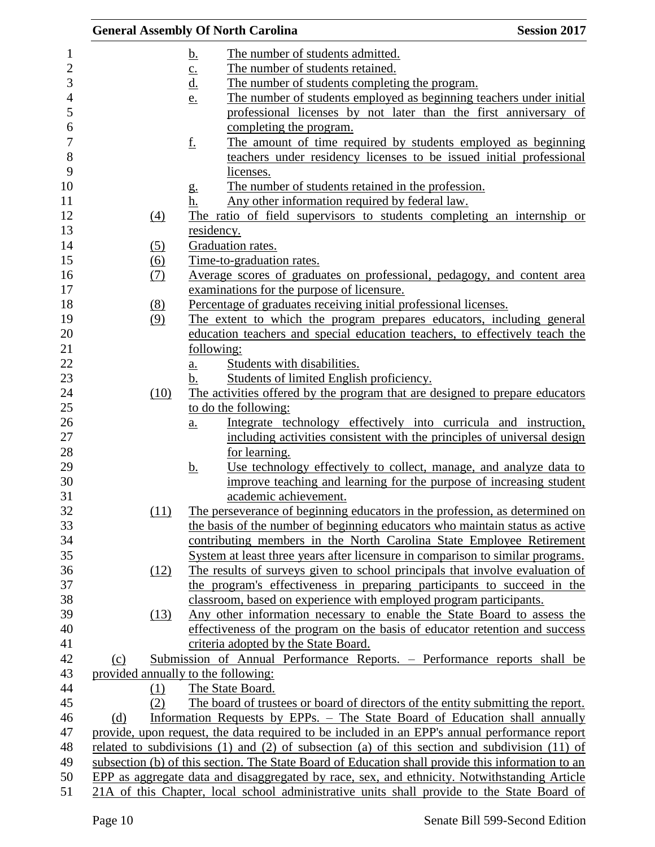| <b>General Assembly Of North Carolina</b> |                   |                                                                                                       | <b>Session 2017</b> |
|-------------------------------------------|-------------------|-------------------------------------------------------------------------------------------------------|---------------------|
|                                           | <u>b.</u>         | The number of students admitted.                                                                      |                     |
|                                           |                   | The number of students retained.                                                                      |                     |
|                                           | $\frac{c}{d}$     | The number of students completing the program.                                                        |                     |
|                                           | e.                | The number of students employed as beginning teachers under initial                                   |                     |
|                                           |                   | professional licenses by not later than the first anniversary of                                      |                     |
|                                           |                   | completing the program.                                                                               |                     |
|                                           | <u>f.</u>         | The amount of time required by students employed as beginning                                         |                     |
|                                           |                   | teachers under residency licenses to be issued initial professional                                   |                     |
|                                           |                   | licenses.                                                                                             |                     |
|                                           |                   | The number of students retained in the profession.                                                    |                     |
|                                           | g.<br>h.          |                                                                                                       |                     |
|                                           |                   | Any other information required by federal law.                                                        |                     |
| $\left(4\right)$                          |                   | The ratio of field supervisors to students completing an internship or                                |                     |
|                                           | residency.        |                                                                                                       |                     |
| (5)                                       |                   | Graduation rates.                                                                                     |                     |
| (6)                                       |                   | Time-to-graduation rates.                                                                             |                     |
| (7)                                       |                   | Average scores of graduates on professional, pedagogy, and content area                               |                     |
|                                           |                   | examinations for the purpose of licensure.                                                            |                     |
| (8)                                       |                   | Percentage of graduates receiving initial professional licenses.                                      |                     |
| (9)                                       |                   | The extent to which the program prepares educators, including general                                 |                     |
|                                           |                   | education teachers and special education teachers, to effectively teach the                           |                     |
|                                           | following:        |                                                                                                       |                     |
|                                           | <u>a.</u>         | Students with disabilities.                                                                           |                     |
|                                           | b.                | Students of limited English proficiency.                                                              |                     |
| (10)                                      |                   | The activities offered by the program that are designed to prepare educators                          |                     |
|                                           |                   | to do the following:                                                                                  |                     |
|                                           | $\underline{a}$ . | Integrate technology effectively into curricula and instruction,                                      |                     |
|                                           |                   | including activities consistent with the principles of universal design                               |                     |
|                                           |                   | for learning.                                                                                         |                     |
|                                           | <u>b.</u>         | Use technology effectively to collect, manage, and analyze data to                                    |                     |
|                                           |                   | improve teaching and learning for the purpose of increasing student                                   |                     |
|                                           |                   | academic achievement.                                                                                 |                     |
| (11)                                      |                   | The perseverance of beginning educators in the profession, as determined on                           |                     |
|                                           |                   | the basis of the number of beginning educators who maintain status as active                          |                     |
|                                           |                   | contributing members in the North Carolina State Employee Retirement                                  |                     |
|                                           |                   | System at least three years after licensure in comparison to similar programs.                        |                     |
| (12)                                      |                   | The results of surveys given to school principals that involve evaluation of                          |                     |
|                                           |                   | the program's effectiveness in preparing participants to succeed in the                               |                     |
|                                           |                   | classroom, based on experience with employed program participants.                                    |                     |
| (13)                                      |                   | Any other information necessary to enable the State Board to assess the                               |                     |
|                                           |                   | effectiveness of the program on the basis of educator retention and success                           |                     |
|                                           |                   | criteria adopted by the State Board.                                                                  |                     |
| (c)                                       |                   | Submission of Annual Performance Reports. – Performance reports shall be                              |                     |
| provided annually to the following:       |                   |                                                                                                       |                     |
| (1)                                       |                   | The State Board.                                                                                      |                     |
| (2)                                       |                   | The board of trustees or board of directors of the entity submitting the report.                      |                     |
| (d)                                       |                   | Information Requests by EPPs. – The State Board of Education shall annually                           |                     |
|                                           |                   | provide, upon request, the data required to be included in an EPP's annual performance report         |                     |
|                                           |                   | related to subdivisions $(1)$ and $(2)$ of subsection $(a)$ of this section and subdivision $(11)$ of |                     |
|                                           |                   | subsection (b) of this section. The State Board of Education shall provide this information to an     |                     |
|                                           |                   | EPP as aggregate data and disaggregated by race, sex, and ethnicity. Notwithstanding Article          |                     |
|                                           |                   | 21A of this Chapter, local school administrative units shall provide to the State Board of            |                     |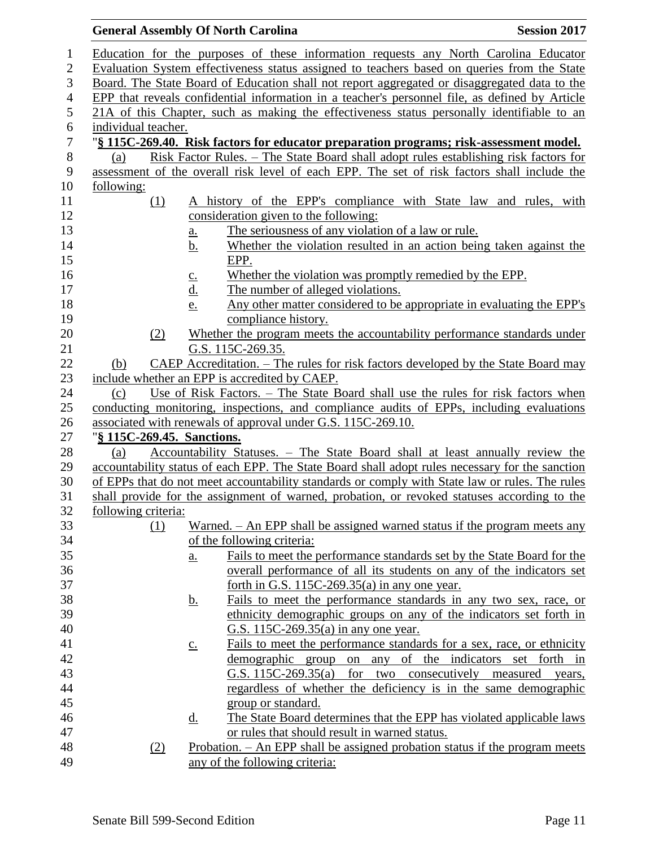| <b>General Assembly Of North Carolina</b> |                   |                                                                                                 | <b>Session 2017</b> |
|-------------------------------------------|-------------------|-------------------------------------------------------------------------------------------------|---------------------|
|                                           |                   | Education for the purposes of these information requests any North Carolina Educator            |                     |
|                                           |                   | Evaluation System effectiveness status assigned to teachers based on queries from the State     |                     |
|                                           |                   | Board. The State Board of Education shall not report aggregated or disaggregated data to the    |                     |
|                                           |                   | EPP that reveals confidential information in a teacher's personnel file, as defined by Article  |                     |
|                                           |                   | 21A of this Chapter, such as making the effectiveness status personally identifiable to an      |                     |
| individual teacher.                       |                   |                                                                                                 |                     |
|                                           |                   | "§ 115C-269.40. Risk factors for educator preparation programs; risk-assessment model.          |                     |
| (a)                                       |                   | <u>Risk Factor Rules. – The State Board shall adopt rules establishing risk factors for</u>     |                     |
|                                           |                   | assessment of the overall risk level of each EPP. The set of risk factors shall include the     |                     |
| following:                                |                   |                                                                                                 |                     |
| (1)                                       |                   | A history of the EPP's compliance with State law and rules, with                                |                     |
|                                           |                   | consideration given to the following:                                                           |                     |
|                                           | <u>a.</u>         | The seriousness of any violation of a law or rule.                                              |                     |
|                                           | <u>b.</u>         | Whether the violation resulted in an action being taken against the                             |                     |
|                                           |                   | EPP.                                                                                            |                     |
|                                           | $c_{\cdot}$       | Whether the violation was promptly remedied by the EPP.                                         |                     |
|                                           | <u>d.</u>         | The number of alleged violations.                                                               |                     |
|                                           | <u>e.</u>         | Any other matter considered to be appropriate in evaluating the EPP's                           |                     |
|                                           |                   | compliance history.                                                                             |                     |
| (2)                                       |                   | Whether the program meets the accountability performance standards under                        |                     |
|                                           |                   | G.S. 115C-269.35.                                                                               |                     |
| (b)                                       |                   | CAEP Accreditation. - The rules for risk factors developed by the State Board may               |                     |
|                                           |                   | include whether an EPP is accredited by CAEP.                                                   |                     |
| (c)                                       |                   | Use of Risk Factors. – The State Board shall use the rules for risk factors when                |                     |
|                                           |                   | conducting monitoring, inspections, and compliance audits of EPPs, including evaluations        |                     |
|                                           |                   | associated with renewals of approval under G.S. 115C-269.10.                                    |                     |
| "§ 115C-269.45. Sanctions.                |                   |                                                                                                 |                     |
| (a)                                       |                   | Accountability Statuses. - The State Board shall at least annually review the                   |                     |
|                                           |                   | accountability status of each EPP. The State Board shall adopt rules necessary for the sanction |                     |
|                                           |                   | of EPPs that do not meet accountability standards or comply with State law or rules. The rules  |                     |
|                                           |                   | shall provide for the assignment of warned, probation, or revoked statuses according to the     |                     |
| following criteria:                       |                   |                                                                                                 |                     |
| (1)                                       |                   | Warned. – An EPP shall be assigned warned status if the program meets any                       |                     |
|                                           |                   | of the following criteria:                                                                      |                     |
|                                           | a.                | Fails to meet the performance standards set by the State Board for the                          |                     |
|                                           |                   | overall performance of all its students on any of the indicators set                            |                     |
|                                           |                   | forth in G.S. $115C-269.35(a)$ in any one year.                                                 |                     |
|                                           | <u>b.</u>         | Fails to meet the performance standards in any two sex, race, or                                |                     |
|                                           |                   | ethnicity demographic groups on any of the indicators set forth in                              |                     |
|                                           |                   | G.S. 115C-269.35(a) in any one year.                                                            |                     |
|                                           | $\underline{c}$ . | Fails to meet the performance standards for a sex, race, or ethnicity                           |                     |
|                                           |                   | demographic group on any of the indicators set forth in                                         |                     |
|                                           |                   | G.S. 115C-269.35(a) for two consecutively measured                                              | years,              |
|                                           |                   | regardless of whether the deficiency is in the same demographic                                 |                     |
|                                           |                   | group or standard.                                                                              |                     |
|                                           | <u>d.</u>         | The State Board determines that the EPP has violated applicable laws                            |                     |
|                                           |                   | or rules that should result in warned status.                                                   |                     |
| (2)                                       |                   | <u>Probation. – An EPP shall be assigned probation status if the program meets</u>              |                     |
|                                           |                   | any of the following criteria:                                                                  |                     |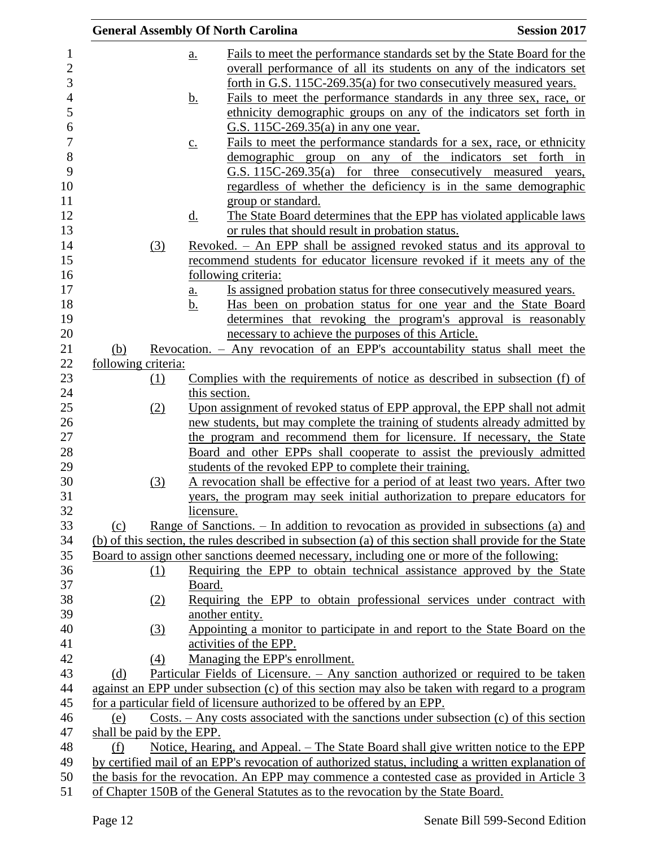|                                                                                                                                                                                                  | <b>Session 2017</b> |
|--------------------------------------------------------------------------------------------------------------------------------------------------------------------------------------------------|---------------------|
| Fails to meet the performance standards set by the State Board for the<br>a.                                                                                                                     |                     |
| overall performance of all its students on any of the indicators set                                                                                                                             |                     |
| forth in G.S. 115C-269.35(a) for two consecutively measured years.                                                                                                                               |                     |
| Fails to meet the performance standards in any three sex, race, or<br><u>b.</u>                                                                                                                  |                     |
| ethnicity demographic groups on any of the indicators set forth in                                                                                                                               |                     |
| G.S. 115C-269.35(a) in any one year.                                                                                                                                                             |                     |
| Fails to meet the performance standards for a sex, race, or ethnicity<br>$\underline{C}$ .                                                                                                       |                     |
| demographic group on any of the indicators set forth in                                                                                                                                          |                     |
| G.S. 115C-269.35(a)<br>for three consecutively measured years,                                                                                                                                   |                     |
| regardless of whether the deficiency is in the same demographic                                                                                                                                  |                     |
| group or standard.                                                                                                                                                                               |                     |
| $\underline{d}$ .<br>The State Board determines that the EPP has violated applicable laws                                                                                                        |                     |
| or rules that should result in probation status.                                                                                                                                                 |                     |
| Revoked. - An EPP shall be assigned revoked status and its approval to<br>(3)                                                                                                                    |                     |
| recommend students for educator licensure revoked if it meets any of the                                                                                                                         |                     |
| following criteria:                                                                                                                                                                              |                     |
| Is assigned probation status for three consecutively measured years.<br>a.<br>Has been on probation status for one year and the State Board<br>b.                                                |                     |
| determines that revoking the program's approval is reasonably                                                                                                                                    |                     |
| necessary to achieve the purposes of this Article.                                                                                                                                               |                     |
| Revocation. - Any revocation of an EPP's accountability status shall meet the<br>(b)                                                                                                             |                     |
| following criteria:                                                                                                                                                                              |                     |
| Complies with the requirements of notice as described in subsection (f) of<br>(1)                                                                                                                |                     |
| this section.                                                                                                                                                                                    |                     |
| Upon assignment of revoked status of EPP approval, the EPP shall not admit<br>(2)                                                                                                                |                     |
| new students, but may complete the training of students already admitted by                                                                                                                      |                     |
| the program and recommend them for licensure. If necessary, the State                                                                                                                            |                     |
| Board and other EPPs shall cooperate to assist the previously admitted                                                                                                                           |                     |
| students of the revoked EPP to complete their training.                                                                                                                                          |                     |
| (3)<br>A revocation shall be effective for a period of at least two years. After two                                                                                                             |                     |
| years, the program may seek initial authorization to prepare educators for                                                                                                                       |                     |
| licensure.<br>Range of Sanctions. – In addition to revocation as provided in subsections (a) and<br>(c)                                                                                          |                     |
| (b) of this section, the rules described in subsection (a) of this section shall provide for the State                                                                                           |                     |
| Board to assign other sanctions deemed necessary, including one or more of the following:                                                                                                        |                     |
| Requiring the EPP to obtain technical assistance approved by the State<br>(1)                                                                                                                    |                     |
| Board.                                                                                                                                                                                           |                     |
| Requiring the EPP to obtain professional services under contract with<br>(2)                                                                                                                     |                     |
| another entity.                                                                                                                                                                                  |                     |
| Appointing a monitor to participate in and report to the State Board on the<br>(3)                                                                                                               |                     |
| activities of the EPP.                                                                                                                                                                           |                     |
| Managing the EPP's enrollment.<br>(4)                                                                                                                                                            |                     |
| Particular Fields of Licensure. - Any sanction authorized or required to be taken<br>(d)                                                                                                         |                     |
| against an EPP under subsection (c) of this section may also be taken with regard to a program                                                                                                   |                     |
| for a particular field of licensure authorized to be offered by an EPP.                                                                                                                          |                     |
|                                                                                                                                                                                                  |                     |
| Costs. $-$ Any costs associated with the sanctions under subsection (c) of this section<br>(e)                                                                                                   |                     |
|                                                                                                                                                                                                  |                     |
| shall be paid by the EPP.<br>Notice, Hearing, and Appeal. – The State Board shall give written notice to the EPP<br>(f)                                                                          |                     |
| by certified mail of an EPP's revocation of authorized status, including a written explanation of<br>the basis for the revocation. An EPP may commence a contested case as provided in Article 3 |                     |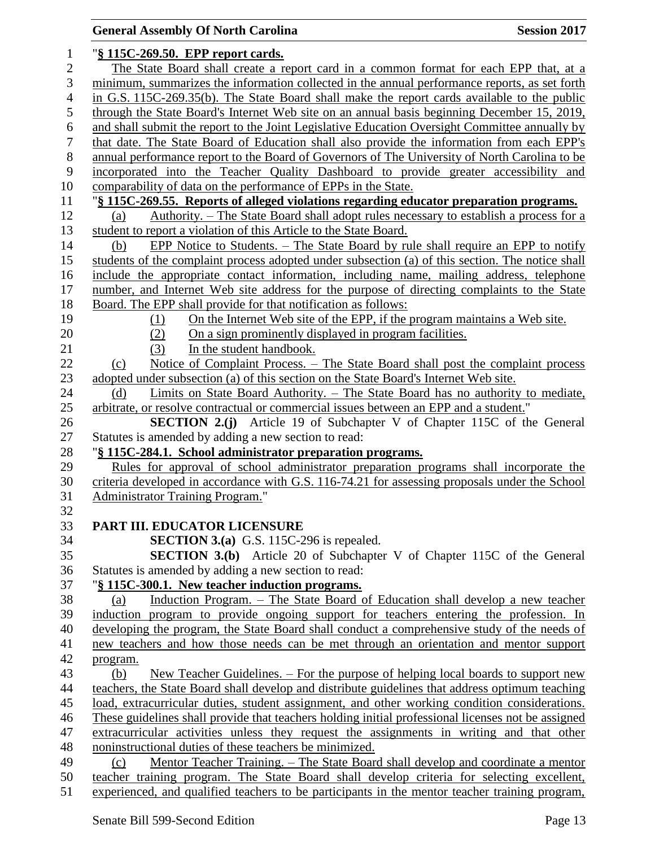## **General Assembly Of North Carolina Session 2017**  "**§ 115C-269.50. EPP report cards.** The State Board shall create a report card in a common format for each EPP that, at a minimum, summarizes the information collected in the annual performance reports, as set forth in G.S. 115C-269.35(b). The State Board shall make the report cards available to the public through the State Board's Internet Web site on an annual basis beginning December 15, 2019, and shall submit the report to the Joint Legislative Education Oversight Committee annually by that date. The State Board of Education shall also provide the information from each EPP's annual performance report to the Board of Governors of The University of North Carolina to be incorporated into the Teacher Quality Dashboard to provide greater accessibility and comparability of data on the performance of EPPs in the State. "**§ 115C-269.55. Reports of alleged violations regarding educator preparation programs.** (a) Authority. – The State Board shall adopt rules necessary to establish a process for a student to report a violation of this Article to the State Board. (b) EPP Notice to Students. – The State Board by rule shall require an EPP to notify students of the complaint process adopted under subsection (a) of this section. The notice shall include the appropriate contact information, including name, mailing address, telephone number, and Internet Web site address for the purpose of directing complaints to the State Board. The EPP shall provide for that notification as follows: (1) On the Internet Web site of the EPP, if the program maintains a Web site. 20 (2) On a sign prominently displayed in program facilities. 21 (3) In the student handbook. (c) Notice of Complaint Process. – The State Board shall post the complaint process 23 adopted under subsection (a) of this section on the State Board's Internet Web site. 24 (d) Limits on State Board Authority. – The State Board has no authority to mediate, arbitrate, or resolve contractual or commercial issues between an EPP and a student." **SECTION 2.(j)** Article 19 of Subchapter V of Chapter 115C of the General Statutes is amended by adding a new section to read: "**§ 115C-284.1. School administrator preparation programs.** Rules for approval of school administrator preparation programs shall incorporate the criteria developed in accordance with G.S. 116-74.21 for assessing proposals under the School Administrator Training Program." **PART III. EDUCATOR LICENSURE SECTION 3.(a)** G.S. 115C-296 is repealed. **SECTION 3.(b)** Article 20 of Subchapter V of Chapter 115C of the General Statutes is amended by adding a new section to read: "**§ 115C-300.1. New teacher induction programs.** (a) Induction Program. – The State Board of Education shall develop a new teacher induction program to provide ongoing support for teachers entering the profession. In developing the program, the State Board shall conduct a comprehensive study of the needs of new teachers and how those needs can be met through an orientation and mentor support program. (b) New Teacher Guidelines. – For the purpose of helping local boards to support new teachers, the State Board shall develop and distribute guidelines that address optimum teaching load, extracurricular duties, student assignment, and other working condition considerations. These guidelines shall provide that teachers holding initial professional licenses not be assigned extracurricular activities unless they request the assignments in writing and that other noninstructional duties of these teachers be minimized. (c) Mentor Teacher Training. – The State Board shall develop and coordinate a mentor teacher training program. The State Board shall develop criteria for selecting excellent, experienced, and qualified teachers to be participants in the mentor teacher training program,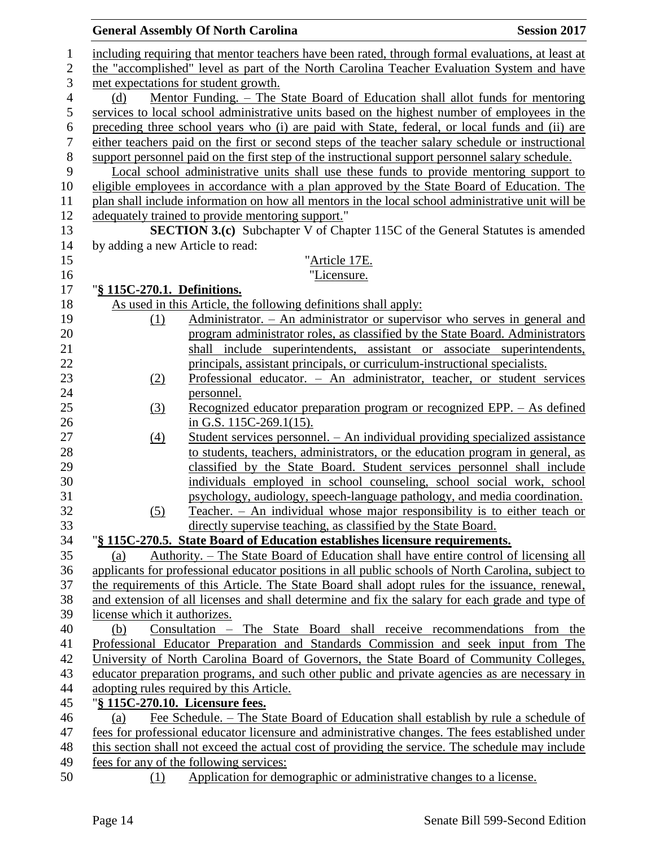|                              | <b>General Assembly Of North Carolina</b>                                                                                                   | <b>Session 2017</b> |
|------------------------------|---------------------------------------------------------------------------------------------------------------------------------------------|---------------------|
|                              | including requiring that mentor teachers have been rated, through formal evaluations, at least at                                           |                     |
|                              | the "accomplished" level as part of the North Carolina Teacher Evaluation System and have                                                   |                     |
|                              | met expectations for student growth.                                                                                                        |                     |
| (d)                          | Mentor Funding. – The State Board of Education shall allot funds for mentoring                                                              |                     |
|                              | services to local school administrative units based on the highest number of employees in the                                               |                     |
|                              | preceding three school years who (i) are paid with State, federal, or local funds and (ii) are                                              |                     |
|                              | either teachers paid on the first or second steps of the teacher salary schedule or instructional                                           |                     |
|                              | support personnel paid on the first step of the instructional support personnel salary schedule.                                            |                     |
|                              | Local school administrative units shall use these funds to provide mentoring support to                                                     |                     |
|                              | eligible employees in accordance with a plan approved by the State Board of Education. The                                                  |                     |
|                              | plan shall include information on how all mentors in the local school administrative unit will be                                           |                     |
|                              | adequately trained to provide mentoring support."                                                                                           |                     |
|                              | <b>SECTION 3.(c)</b> Subchapter V of Chapter 115C of the General Statutes is amended                                                        |                     |
|                              | by adding a new Article to read:                                                                                                            |                     |
|                              | "Article 17E.                                                                                                                               |                     |
|                              | "Licensure.                                                                                                                                 |                     |
|                              | "§ 115C-270.1. Definitions.                                                                                                                 |                     |
|                              | As used in this Article, the following definitions shall apply:                                                                             |                     |
| (1)                          | Administrator. - An administrator or supervisor who serves in general and                                                                   |                     |
|                              | program administrator roles, as classified by the State Board. Administrators                                                               |                     |
|                              | shall include superintendents, assistant or associate superintendents,                                                                      |                     |
|                              | principals, assistant principals, or curriculum-instructional specialists.                                                                  |                     |
| (2)                          | Professional educator. - An administrator, teacher, or student services                                                                     |                     |
|                              | <u>personnel.</u>                                                                                                                           |                     |
| (3)                          | Recognized educator preparation program or recognized EPP. - As defined                                                                     |                     |
|                              | in G.S. $115C-269.1(15)$ .                                                                                                                  |                     |
| (4)                          | Student services personnel. - An individual providing specialized assistance                                                                |                     |
|                              | to students, teachers, administrators, or the education program in general, as                                                              |                     |
|                              | classified by the State Board. Student services personnel shall include                                                                     |                     |
|                              | individuals employed in school counseling, school social work, school                                                                       |                     |
|                              | psychology, audiology, speech-language pathology, and media coordination.                                                                   |                     |
| (5)                          | Teacher. - An individual whose major responsibility is to either teach or                                                                   |                     |
|                              | directly supervise teaching, as classified by the State Board.                                                                              |                     |
|                              | "§ 115C-270.5. State Board of Education establishes licensure requirements.                                                                 |                     |
| (a)                          | Authority. – The State Board of Education shall have entire control of licensing all                                                        |                     |
|                              | applicants for professional educator positions in all public schools of North Carolina, subject to                                          |                     |
|                              | the requirements of this Article. The State Board shall adopt rules for the issuance, renewal,                                              |                     |
|                              | and extension of all licenses and shall determine and fix the salary for each grade and type of                                             |                     |
| license which it authorizes. |                                                                                                                                             |                     |
| (b)                          | Consultation - The State Board shall receive recommendations from the                                                                       |                     |
|                              | Professional Educator Preparation and Standards Commission and seek input from The                                                          |                     |
|                              | University of North Carolina Board of Governors, the State Board of Community Colleges,                                                     |                     |
|                              | educator preparation programs, and such other public and private agencies as are necessary in                                               |                     |
|                              | adopting rules required by this Article.                                                                                                    |                     |
|                              | "§ 115C-270.10. Licensure fees.                                                                                                             |                     |
| (a)                          | Fee Schedule. – The State Board of Education shall establish by rule a schedule of                                                          |                     |
|                              | fees for professional educator licensure and administrative changes. The fees established under                                             |                     |
|                              | this section shall not exceed the actual cost of providing the service. The schedule may include<br>fees for any of the following services: |                     |
| (1)                          | Application for demographic or administrative changes to a license.                                                                         |                     |
|                              |                                                                                                                                             |                     |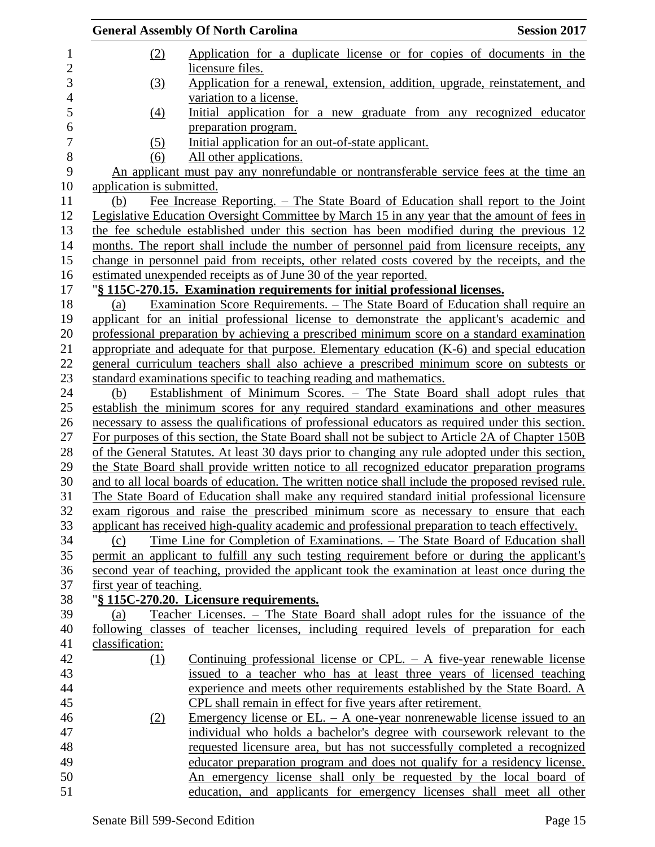|                           | <b>General Assembly Of North Carolina</b>                                                              | <b>Session 2017</b> |
|---------------------------|--------------------------------------------------------------------------------------------------------|---------------------|
| (2)                       | Application for a duplicate license or for copies of documents in the<br>licensure files.              |                     |
| (3)                       | Application for a renewal, extension, addition, upgrade, reinstatement, and<br>variation to a license. |                     |
| $\left(4\right)$          | Initial application for a new graduate from any recognized educator                                    |                     |
| (5)                       | preparation program.<br>Initial application for an out-of-state applicant.                             |                     |
| (6)                       | All other applications.                                                                                |                     |
|                           | An applicant must pay any nonrefundable or nontransferable service fees at the time an                 |                     |
| application is submitted. |                                                                                                        |                     |
| (b)                       | Fee Increase Reporting. – The State Board of Education shall report to the Joint                       |                     |
|                           | Legislative Education Oversight Committee by March 15 in any year that the amount of fees in           |                     |
|                           | the fee schedule established under this section has been modified during the previous 12               |                     |
|                           | months. The report shall include the number of personnel paid from licensure receipts, any             |                     |
|                           | change in personnel paid from receipts, other related costs covered by the receipts, and the           |                     |
|                           | estimated unexpended receipts as of June 30 of the year reported.                                      |                     |
|                           | "§ 115C-270.15. Examination requirements for initial professional licenses.                            |                     |
| (a)                       | <u>Examination Score Requirements. – The State Board of Education shall require an</u>                 |                     |
|                           | applicant for an initial professional license to demonstrate the applicant's academic and              |                     |
|                           | professional preparation by achieving a prescribed minimum score on a standard examination             |                     |
|                           | appropriate and adequate for that purpose. Elementary education (K-6) and special education            |                     |
|                           | general curriculum teachers shall also achieve a prescribed minimum score on subtests or               |                     |
|                           | standard examinations specific to teaching reading and mathematics.                                    |                     |
| (b)                       | Establishment of Minimum Scores. - The State Board shall adopt rules that                              |                     |
|                           | establish the minimum scores for any required standard examinations and other measures                 |                     |
|                           | necessary to assess the qualifications of professional educators as required under this section.       |                     |
|                           | For purposes of this section, the State Board shall not be subject to Article 2A of Chapter 150B       |                     |
|                           | of the General Statutes. At least 30 days prior to changing any rule adopted under this section,       |                     |
|                           | the State Board shall provide written notice to all recognized educator preparation programs           |                     |
|                           | and to all local boards of education. The written notice shall include the proposed revised rule.      |                     |
|                           | The State Board of Education shall make any required standard initial professional licensure           |                     |
|                           | exam rigorous and raise the prescribed minimum score as necessary to ensure that each                  |                     |
|                           | applicant has received high-quality academic and professional preparation to teach effectively.        |                     |
| (c)                       | <u>Time Line for Completion of Examinations. – The State Board of Education shall</u>                  |                     |
|                           | permit an applicant to fulfill any such testing requirement before or during the applicant's           |                     |
|                           | second year of teaching, provided the applicant took the examination at least once during the          |                     |
| first year of teaching.   |                                                                                                        |                     |
|                           | "§ 115C-270.20. Licensure requirements.                                                                |                     |
| (a)                       | Teacher Licenses. – The State Board shall adopt rules for the issuance of the                          |                     |
|                           | following classes of teacher licenses, including required levels of preparation for each               |                     |
| classification:           |                                                                                                        |                     |
| (1)                       | Continuing professional license or CPL. $-$ A five-year renewable license                              |                     |
|                           | issued to a teacher who has at least three years of licensed teaching                                  |                     |
|                           | experience and meets other requirements established by the State Board. A                              |                     |
|                           | CPL shall remain in effect for five years after retirement.                                            |                     |
| (2)                       | Emergency license or EL. $-$ A one-year nonrenewable license issued to an                              |                     |
|                           | individual who holds a bachelor's degree with coursework relevant to the                               |                     |
|                           | requested licensure area, but has not successfully completed a recognized                              |                     |
|                           | educator preparation program and does not qualify for a residency license.                             |                     |
|                           | An emergency license shall only be requested by the local board of                                     |                     |
|                           | education, and applicants for emergency licenses shall meet all other                                  |                     |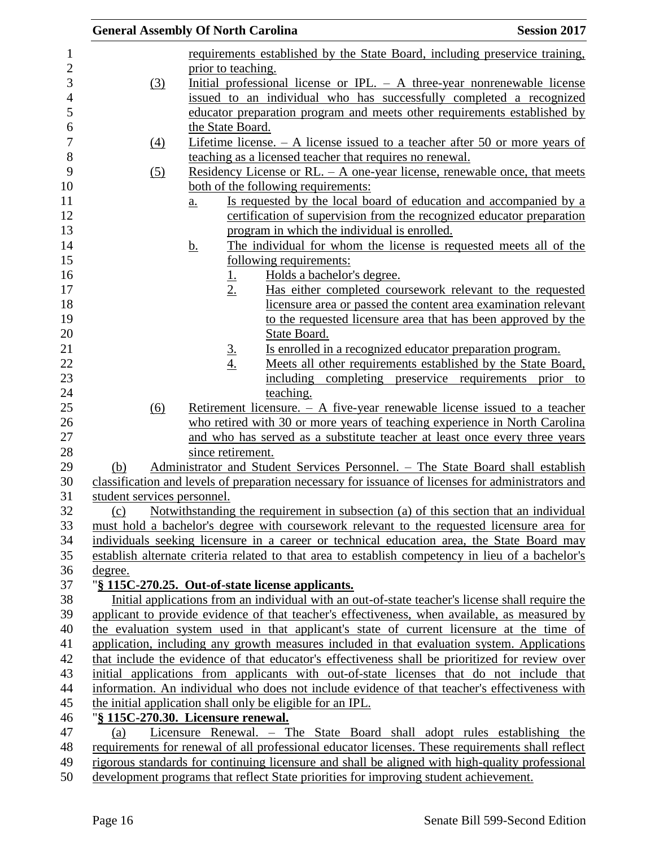|                                                                                                                                   | <b>General Assembly Of North Carolina</b>                                                        | <b>Session 2017</b>                                            |
|-----------------------------------------------------------------------------------------------------------------------------------|--------------------------------------------------------------------------------------------------|----------------------------------------------------------------|
|                                                                                                                                   | requirements established by the State Board, including preservice training,                      |                                                                |
|                                                                                                                                   | prior to teaching.                                                                               |                                                                |
| (3)                                                                                                                               | Initial professional license or IPL. $-$ A three-year nonrenewable license                       |                                                                |
|                                                                                                                                   | issued to an individual who has successfully completed a recognized                              |                                                                |
|                                                                                                                                   | educator preparation program and meets other requirements established by                         |                                                                |
|                                                                                                                                   | the State Board.                                                                                 |                                                                |
| $\underline{(4)}$                                                                                                                 | Lifetime license. $- A$ license issued to a teacher after 50 or more years of                    |                                                                |
|                                                                                                                                   | teaching as a licensed teacher that requires no renewal.                                         |                                                                |
| (5)                                                                                                                               | Residency License or RL. $-$ A one-year license, renewable once, that meets                      |                                                                |
|                                                                                                                                   | both of the following requirements:                                                              |                                                                |
|                                                                                                                                   | Is requested by the local board of education and accompanied by a<br>$\underline{a}$ .           |                                                                |
|                                                                                                                                   | certification of supervision from the recognized educator preparation                            |                                                                |
|                                                                                                                                   | program in which the individual is enrolled.                                                     |                                                                |
|                                                                                                                                   | <u>b.</u><br>The individual for whom the license is requested meets all of the                   |                                                                |
|                                                                                                                                   | following requirements:                                                                          |                                                                |
|                                                                                                                                   | Holds a bachelor's degree.<br><u>1.</u>                                                          |                                                                |
|                                                                                                                                   | 2.                                                                                               | Has either completed coursework relevant to the requested      |
|                                                                                                                                   |                                                                                                  | licensure area or passed the content area examination relevant |
|                                                                                                                                   |                                                                                                  | to the requested licensure area that has been approved by the  |
|                                                                                                                                   | State Board.                                                                                     |                                                                |
|                                                                                                                                   | Is enrolled in a recognized educator preparation program.                                        |                                                                |
|                                                                                                                                   | $rac{3}{4}$                                                                                      | Meets all other requirements established by the State Board,   |
|                                                                                                                                   |                                                                                                  | including completing preservice requirements prior to          |
|                                                                                                                                   | teaching.                                                                                        |                                                                |
| (6)                                                                                                                               | Retirement licensure. $- A$ five-year renewable license issued to a teacher                      |                                                                |
|                                                                                                                                   | who retired with 30 or more years of teaching experience in North Carolina                       |                                                                |
|                                                                                                                                   | and who has served as a substitute teacher at least once every three years                       |                                                                |
|                                                                                                                                   | since retirement.                                                                                |                                                                |
| (b)                                                                                                                               | Administrator and Student Services Personnel. - The State Board shall establish                  |                                                                |
|                                                                                                                                   |                                                                                                  |                                                                |
| classification and levels of preparation necessary for issuance of licenses for administrators and<br>student services personnel. |                                                                                                  |                                                                |
| Notwithstanding the requirement in subsection (a) of this section that an individual<br>(c)                                       |                                                                                                  |                                                                |
|                                                                                                                                   | must hold a bachelor's degree with coursework relevant to the requested licensure area for       |                                                                |
| individuals seeking licensure in a career or technical education area, the State Board may                                        |                                                                                                  |                                                                |
| establish alternate criteria related to that area to establish competency in lieu of a bachelor's                                 |                                                                                                  |                                                                |
| degree.                                                                                                                           |                                                                                                  |                                                                |
|                                                                                                                                   | "§ 115C-270.25. Out-of-state license applicants.                                                 |                                                                |
|                                                                                                                                   | Initial applications from an individual with an out-of-state teacher's license shall require the |                                                                |
|                                                                                                                                   | applicant to provide evidence of that teacher's effectiveness, when available, as measured by    |                                                                |
|                                                                                                                                   | the evaluation system used in that applicant's state of current licensure at the time of         |                                                                |
|                                                                                                                                   | application, including any growth measures included in that evaluation system. Applications      |                                                                |
|                                                                                                                                   | that include the evidence of that educator's effectiveness shall be prioritized for review over  |                                                                |
|                                                                                                                                   | initial applications from applicants with out-of-state licenses that do not include that         |                                                                |
|                                                                                                                                   | information. An individual who does not include evidence of that teacher's effectiveness with    |                                                                |
|                                                                                                                                   | the initial application shall only be eligible for an IPL.                                       |                                                                |
|                                                                                                                                   | "§ 115C-270.30. Licensure renewal.                                                               |                                                                |
| (a)                                                                                                                               | Licensure Renewal. - The State Board shall adopt rules establishing the                          |                                                                |
|                                                                                                                                   | requirements for renewal of all professional educator licenses. These requirements shall reflect |                                                                |
|                                                                                                                                   | rigorous standards for continuing licensure and shall be aligned with high-quality professional  |                                                                |
|                                                                                                                                   | development programs that reflect State priorities for improving student achievement.            |                                                                |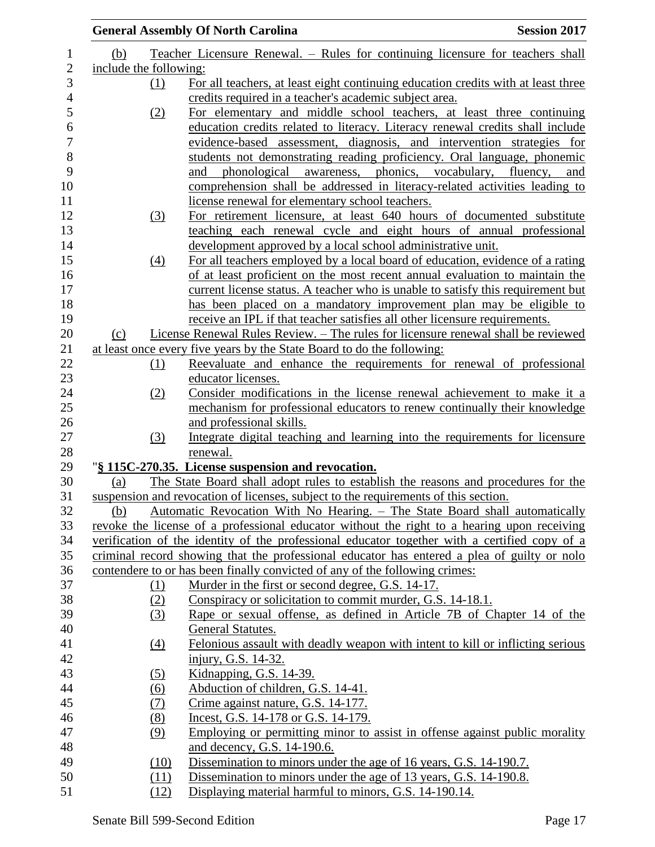|                        | <b>General Assembly Of North Carolina</b>                                                     | <b>Session 2017</b> |
|------------------------|-----------------------------------------------------------------------------------------------|---------------------|
| (b)                    | Teacher Licensure Renewal. – Rules for continuing licensure for teachers shall                |                     |
| include the following: |                                                                                               |                     |
| (1)                    | For all teachers, at least eight continuing education credits with at least three             |                     |
|                        | credits required in a teacher's academic subject area.                                        |                     |
| (2)                    | For elementary and middle school teachers, at least three continuing                          |                     |
|                        | education credits related to literacy. Literacy renewal credits shall include                 |                     |
|                        | evidence-based assessment, diagnosis, and intervention strategies for                         |                     |
|                        | students not demonstrating reading proficiency. Oral language, phonemic                       |                     |
|                        | awareness, phonics, vocabulary, fluency, and<br>phonological<br>and                           |                     |
|                        | comprehension shall be addressed in literacy-related activities leading to                    |                     |
|                        | license renewal for elementary school teachers.                                               |                     |
| (3)                    | For retirement licensure, at least 640 hours of documented substitute                         |                     |
|                        | teaching each renewal cycle and eight hours of annual professional                            |                     |
|                        | development approved by a local school administrative unit.                                   |                     |
| (4)                    | For all teachers employed by a local board of education, evidence of a rating                 |                     |
|                        | of at least proficient on the most recent annual evaluation to maintain the                   |                     |
|                        | current license status. A teacher who is unable to satisfy this requirement but               |                     |
|                        | has been placed on a mandatory improvement plan may be eligible to                            |                     |
|                        | receive an IPL if that teacher satisfies all other licensure requirements.                    |                     |
| (c)                    | License Renewal Rules Review. - The rules for licensure renewal shall be reviewed             |                     |
|                        | at least once every five years by the State Board to do the following:                        |                     |
| <u>(1)</u>             | Reevaluate and enhance the requirements for renewal of professional                           |                     |
|                        | educator licenses.                                                                            |                     |
| (2)                    | Consider modifications in the license renewal achievement to make it a                        |                     |
|                        | mechanism for professional educators to renew continually their knowledge                     |                     |
|                        | and professional skills.                                                                      |                     |
| (3)                    | Integrate digital teaching and learning into the requirements for licensure                   |                     |
|                        | renewal.                                                                                      |                     |
|                        | "§ 115C-270.35. License suspension and revocation.                                            |                     |
| (a)                    | The State Board shall adopt rules to establish the reasons and procedures for the             |                     |
|                        | suspension and revocation of licenses, subject to the requirements of this section.           |                     |
| (b)                    | Automatic Revocation With No Hearing. - The State Board shall automatically                   |                     |
|                        | revoke the license of a professional educator without the right to a hearing upon receiving   |                     |
|                        | verification of the identity of the professional educator together with a certified copy of a |                     |
|                        | criminal record showing that the professional educator has entered a plea of guilty or nolo   |                     |
|                        | contendere to or has been finally convicted of any of the following crimes:                   |                     |
| (1)                    | Murder in the first or second degree, G.S. 14-17.                                             |                     |
| (2)                    | Conspiracy or solicitation to commit murder, G.S. 14-18.1.                                    |                     |
| (3)                    | Rape or sexual offense, as defined in Article 7B of Chapter 14 of the                         |                     |
|                        | General Statutes.                                                                             |                     |
| (4)                    | Felonious assault with deadly weapon with intent to kill or inflicting serious                |                     |
|                        | injury, G.S. 14-32.                                                                           |                     |
| (5)                    | Kidnapping, G.S. 14-39.                                                                       |                     |
| $\underline{(6)}$      | Abduction of children, G.S. 14-41.                                                            |                     |
| (7)                    | Crime against nature, G.S. 14-177.                                                            |                     |
| (8)                    | Incest, G.S. 14-178 or G.S. 14-179.                                                           |                     |
| (9)                    | Employing or permitting minor to assist in offense against public morality                    |                     |
|                        | and decency, G.S. 14-190.6.                                                                   |                     |
| (10)                   | Dissemination to minors under the age of 16 years, G.S. 14-190.7.                             |                     |
| (11)                   | Dissemination to minors under the age of 13 years, G.S. 14-190.8.                             |                     |
| (12)                   | Displaying material harmful to minors, G.S. 14-190.14.                                        |                     |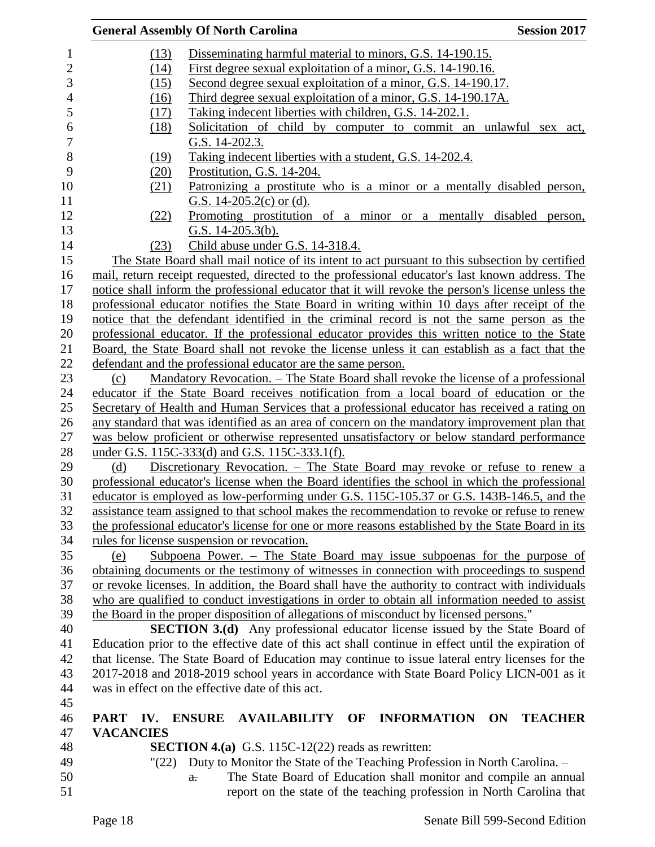| (13)<br>Disseminating harmful material to minors, G.S. 14-190.15.<br>$\mathbf{1}$<br>$\overline{c}$<br>First degree sexual exploitation of a minor, G.S. 14-190.16.<br>(14)<br>3<br>Second degree sexual exploitation of a minor, G.S. 14-190.17.<br>(15)<br>$\overline{4}$<br>Third degree sexual exploitation of a minor, G.S. 14-190.17A.<br>(16)<br>5<br>Taking indecent liberties with children, G.S. 14-202.1.<br>(17)<br>6<br>(18)<br>Solicitation of child by computer to commit an unlawful sex act,<br>$\boldsymbol{7}$<br>G.S. 14-202.3.<br>8<br>Taking indecent liberties with a student, G.S. 14-202.4.<br>(19)<br>9<br>(20)<br>Prostitution, G.S. 14-204.<br>10<br>Patronizing a prostitute who is a minor or a mentally disabled person,<br>(21)<br>11<br>G.S. $14-205.2(c)$ or (d).<br>12<br>Promoting prostitution of a minor or a mentally disabled person,<br>(22)<br>13<br>G.S. $14-205.3(b)$ .<br>14<br>Child abuse under G.S. 14-318.4.<br>(23)<br>15<br>The State Board shall mail notice of its intent to act pursuant to this subsection by certified<br>mail, return receipt requested, directed to the professional educator's last known address. The<br>16<br>17<br>notice shall inform the professional educator that it will revoke the person's license unless the<br>18<br>professional educator notifies the State Board in writing within 10 days after receipt of the<br>19<br>notice that the defendant identified in the criminal record is not the same person as the<br>20<br>professional educator. If the professional educator provides this written notice to the State<br>21<br>Board, the State Board shall not revoke the license unless it can establish as a fact that the<br>22<br>defendant and the professional educator are the same person.<br>23<br><u> Mandatory Revocation. – The State Board shall revoke the license of a professional</u><br>(c)<br>24<br>educator if the State Board receives notification from a local board of education or the<br>25<br>Secretary of Health and Human Services that a professional educator has received a rating on<br>26<br>any standard that was identified as an area of concern on the mandatory improvement plan that<br>27<br>was below proficient or otherwise represented unsatisfactory or below standard performance<br>28<br>under G.S. 115C-333(d) and G.S. 115C-333.1(f).<br>Discretionary Revocation. - The State Board may revoke or refuse to renew a<br>29<br>(d)<br>30<br>professional educator's license when the Board identifies the school in which the professional<br>educator is employed as low-performing under G.S. 115C-105.37 or G.S. 143B-146.5, and the<br>31<br>32<br>assistance team assigned to that school makes the recommendation to revoke or refuse to renew<br>33<br>the professional educator's license for one or more reasons established by the State Board in its<br>34<br>rules for license suspension or revocation.<br>35<br>Subpoena Power. $-$ The State Board may issue subpoenas for the purpose of<br>(e) |
|------------------------------------------------------------------------------------------------------------------------------------------------------------------------------------------------------------------------------------------------------------------------------------------------------------------------------------------------------------------------------------------------------------------------------------------------------------------------------------------------------------------------------------------------------------------------------------------------------------------------------------------------------------------------------------------------------------------------------------------------------------------------------------------------------------------------------------------------------------------------------------------------------------------------------------------------------------------------------------------------------------------------------------------------------------------------------------------------------------------------------------------------------------------------------------------------------------------------------------------------------------------------------------------------------------------------------------------------------------------------------------------------------------------------------------------------------------------------------------------------------------------------------------------------------------------------------------------------------------------------------------------------------------------------------------------------------------------------------------------------------------------------------------------------------------------------------------------------------------------------------------------------------------------------------------------------------------------------------------------------------------------------------------------------------------------------------------------------------------------------------------------------------------------------------------------------------------------------------------------------------------------------------------------------------------------------------------------------------------------------------------------------------------------------------------------------------------------------------------------------------------------------------------------------------------------------------------------------------------------------------------------------------------------------------------------------------------------------------------------------------------------------------------------------------------------------------------------------------------------------------------------------------------------------------------------------------------------------------------------------------------------------------------------------------------------|
|                                                                                                                                                                                                                                                                                                                                                                                                                                                                                                                                                                                                                                                                                                                                                                                                                                                                                                                                                                                                                                                                                                                                                                                                                                                                                                                                                                                                                                                                                                                                                                                                                                                                                                                                                                                                                                                                                                                                                                                                                                                                                                                                                                                                                                                                                                                                                                                                                                                                                                                                                                                                                                                                                                                                                                                                                                                                                                                                                                                                                                                                  |
|                                                                                                                                                                                                                                                                                                                                                                                                                                                                                                                                                                                                                                                                                                                                                                                                                                                                                                                                                                                                                                                                                                                                                                                                                                                                                                                                                                                                                                                                                                                                                                                                                                                                                                                                                                                                                                                                                                                                                                                                                                                                                                                                                                                                                                                                                                                                                                                                                                                                                                                                                                                                                                                                                                                                                                                                                                                                                                                                                                                                                                                                  |
|                                                                                                                                                                                                                                                                                                                                                                                                                                                                                                                                                                                                                                                                                                                                                                                                                                                                                                                                                                                                                                                                                                                                                                                                                                                                                                                                                                                                                                                                                                                                                                                                                                                                                                                                                                                                                                                                                                                                                                                                                                                                                                                                                                                                                                                                                                                                                                                                                                                                                                                                                                                                                                                                                                                                                                                                                                                                                                                                                                                                                                                                  |
|                                                                                                                                                                                                                                                                                                                                                                                                                                                                                                                                                                                                                                                                                                                                                                                                                                                                                                                                                                                                                                                                                                                                                                                                                                                                                                                                                                                                                                                                                                                                                                                                                                                                                                                                                                                                                                                                                                                                                                                                                                                                                                                                                                                                                                                                                                                                                                                                                                                                                                                                                                                                                                                                                                                                                                                                                                                                                                                                                                                                                                                                  |
|                                                                                                                                                                                                                                                                                                                                                                                                                                                                                                                                                                                                                                                                                                                                                                                                                                                                                                                                                                                                                                                                                                                                                                                                                                                                                                                                                                                                                                                                                                                                                                                                                                                                                                                                                                                                                                                                                                                                                                                                                                                                                                                                                                                                                                                                                                                                                                                                                                                                                                                                                                                                                                                                                                                                                                                                                                                                                                                                                                                                                                                                  |
|                                                                                                                                                                                                                                                                                                                                                                                                                                                                                                                                                                                                                                                                                                                                                                                                                                                                                                                                                                                                                                                                                                                                                                                                                                                                                                                                                                                                                                                                                                                                                                                                                                                                                                                                                                                                                                                                                                                                                                                                                                                                                                                                                                                                                                                                                                                                                                                                                                                                                                                                                                                                                                                                                                                                                                                                                                                                                                                                                                                                                                                                  |
|                                                                                                                                                                                                                                                                                                                                                                                                                                                                                                                                                                                                                                                                                                                                                                                                                                                                                                                                                                                                                                                                                                                                                                                                                                                                                                                                                                                                                                                                                                                                                                                                                                                                                                                                                                                                                                                                                                                                                                                                                                                                                                                                                                                                                                                                                                                                                                                                                                                                                                                                                                                                                                                                                                                                                                                                                                                                                                                                                                                                                                                                  |
|                                                                                                                                                                                                                                                                                                                                                                                                                                                                                                                                                                                                                                                                                                                                                                                                                                                                                                                                                                                                                                                                                                                                                                                                                                                                                                                                                                                                                                                                                                                                                                                                                                                                                                                                                                                                                                                                                                                                                                                                                                                                                                                                                                                                                                                                                                                                                                                                                                                                                                                                                                                                                                                                                                                                                                                                                                                                                                                                                                                                                                                                  |
|                                                                                                                                                                                                                                                                                                                                                                                                                                                                                                                                                                                                                                                                                                                                                                                                                                                                                                                                                                                                                                                                                                                                                                                                                                                                                                                                                                                                                                                                                                                                                                                                                                                                                                                                                                                                                                                                                                                                                                                                                                                                                                                                                                                                                                                                                                                                                                                                                                                                                                                                                                                                                                                                                                                                                                                                                                                                                                                                                                                                                                                                  |
|                                                                                                                                                                                                                                                                                                                                                                                                                                                                                                                                                                                                                                                                                                                                                                                                                                                                                                                                                                                                                                                                                                                                                                                                                                                                                                                                                                                                                                                                                                                                                                                                                                                                                                                                                                                                                                                                                                                                                                                                                                                                                                                                                                                                                                                                                                                                                                                                                                                                                                                                                                                                                                                                                                                                                                                                                                                                                                                                                                                                                                                                  |
|                                                                                                                                                                                                                                                                                                                                                                                                                                                                                                                                                                                                                                                                                                                                                                                                                                                                                                                                                                                                                                                                                                                                                                                                                                                                                                                                                                                                                                                                                                                                                                                                                                                                                                                                                                                                                                                                                                                                                                                                                                                                                                                                                                                                                                                                                                                                                                                                                                                                                                                                                                                                                                                                                                                                                                                                                                                                                                                                                                                                                                                                  |
|                                                                                                                                                                                                                                                                                                                                                                                                                                                                                                                                                                                                                                                                                                                                                                                                                                                                                                                                                                                                                                                                                                                                                                                                                                                                                                                                                                                                                                                                                                                                                                                                                                                                                                                                                                                                                                                                                                                                                                                                                                                                                                                                                                                                                                                                                                                                                                                                                                                                                                                                                                                                                                                                                                                                                                                                                                                                                                                                                                                                                                                                  |
|                                                                                                                                                                                                                                                                                                                                                                                                                                                                                                                                                                                                                                                                                                                                                                                                                                                                                                                                                                                                                                                                                                                                                                                                                                                                                                                                                                                                                                                                                                                                                                                                                                                                                                                                                                                                                                                                                                                                                                                                                                                                                                                                                                                                                                                                                                                                                                                                                                                                                                                                                                                                                                                                                                                                                                                                                                                                                                                                                                                                                                                                  |
|                                                                                                                                                                                                                                                                                                                                                                                                                                                                                                                                                                                                                                                                                                                                                                                                                                                                                                                                                                                                                                                                                                                                                                                                                                                                                                                                                                                                                                                                                                                                                                                                                                                                                                                                                                                                                                                                                                                                                                                                                                                                                                                                                                                                                                                                                                                                                                                                                                                                                                                                                                                                                                                                                                                                                                                                                                                                                                                                                                                                                                                                  |
|                                                                                                                                                                                                                                                                                                                                                                                                                                                                                                                                                                                                                                                                                                                                                                                                                                                                                                                                                                                                                                                                                                                                                                                                                                                                                                                                                                                                                                                                                                                                                                                                                                                                                                                                                                                                                                                                                                                                                                                                                                                                                                                                                                                                                                                                                                                                                                                                                                                                                                                                                                                                                                                                                                                                                                                                                                                                                                                                                                                                                                                                  |
|                                                                                                                                                                                                                                                                                                                                                                                                                                                                                                                                                                                                                                                                                                                                                                                                                                                                                                                                                                                                                                                                                                                                                                                                                                                                                                                                                                                                                                                                                                                                                                                                                                                                                                                                                                                                                                                                                                                                                                                                                                                                                                                                                                                                                                                                                                                                                                                                                                                                                                                                                                                                                                                                                                                                                                                                                                                                                                                                                                                                                                                                  |
|                                                                                                                                                                                                                                                                                                                                                                                                                                                                                                                                                                                                                                                                                                                                                                                                                                                                                                                                                                                                                                                                                                                                                                                                                                                                                                                                                                                                                                                                                                                                                                                                                                                                                                                                                                                                                                                                                                                                                                                                                                                                                                                                                                                                                                                                                                                                                                                                                                                                                                                                                                                                                                                                                                                                                                                                                                                                                                                                                                                                                                                                  |
|                                                                                                                                                                                                                                                                                                                                                                                                                                                                                                                                                                                                                                                                                                                                                                                                                                                                                                                                                                                                                                                                                                                                                                                                                                                                                                                                                                                                                                                                                                                                                                                                                                                                                                                                                                                                                                                                                                                                                                                                                                                                                                                                                                                                                                                                                                                                                                                                                                                                                                                                                                                                                                                                                                                                                                                                                                                                                                                                                                                                                                                                  |
|                                                                                                                                                                                                                                                                                                                                                                                                                                                                                                                                                                                                                                                                                                                                                                                                                                                                                                                                                                                                                                                                                                                                                                                                                                                                                                                                                                                                                                                                                                                                                                                                                                                                                                                                                                                                                                                                                                                                                                                                                                                                                                                                                                                                                                                                                                                                                                                                                                                                                                                                                                                                                                                                                                                                                                                                                                                                                                                                                                                                                                                                  |
|                                                                                                                                                                                                                                                                                                                                                                                                                                                                                                                                                                                                                                                                                                                                                                                                                                                                                                                                                                                                                                                                                                                                                                                                                                                                                                                                                                                                                                                                                                                                                                                                                                                                                                                                                                                                                                                                                                                                                                                                                                                                                                                                                                                                                                                                                                                                                                                                                                                                                                                                                                                                                                                                                                                                                                                                                                                                                                                                                                                                                                                                  |
|                                                                                                                                                                                                                                                                                                                                                                                                                                                                                                                                                                                                                                                                                                                                                                                                                                                                                                                                                                                                                                                                                                                                                                                                                                                                                                                                                                                                                                                                                                                                                                                                                                                                                                                                                                                                                                                                                                                                                                                                                                                                                                                                                                                                                                                                                                                                                                                                                                                                                                                                                                                                                                                                                                                                                                                                                                                                                                                                                                                                                                                                  |
|                                                                                                                                                                                                                                                                                                                                                                                                                                                                                                                                                                                                                                                                                                                                                                                                                                                                                                                                                                                                                                                                                                                                                                                                                                                                                                                                                                                                                                                                                                                                                                                                                                                                                                                                                                                                                                                                                                                                                                                                                                                                                                                                                                                                                                                                                                                                                                                                                                                                                                                                                                                                                                                                                                                                                                                                                                                                                                                                                                                                                                                                  |
|                                                                                                                                                                                                                                                                                                                                                                                                                                                                                                                                                                                                                                                                                                                                                                                                                                                                                                                                                                                                                                                                                                                                                                                                                                                                                                                                                                                                                                                                                                                                                                                                                                                                                                                                                                                                                                                                                                                                                                                                                                                                                                                                                                                                                                                                                                                                                                                                                                                                                                                                                                                                                                                                                                                                                                                                                                                                                                                                                                                                                                                                  |
|                                                                                                                                                                                                                                                                                                                                                                                                                                                                                                                                                                                                                                                                                                                                                                                                                                                                                                                                                                                                                                                                                                                                                                                                                                                                                                                                                                                                                                                                                                                                                                                                                                                                                                                                                                                                                                                                                                                                                                                                                                                                                                                                                                                                                                                                                                                                                                                                                                                                                                                                                                                                                                                                                                                                                                                                                                                                                                                                                                                                                                                                  |
|                                                                                                                                                                                                                                                                                                                                                                                                                                                                                                                                                                                                                                                                                                                                                                                                                                                                                                                                                                                                                                                                                                                                                                                                                                                                                                                                                                                                                                                                                                                                                                                                                                                                                                                                                                                                                                                                                                                                                                                                                                                                                                                                                                                                                                                                                                                                                                                                                                                                                                                                                                                                                                                                                                                                                                                                                                                                                                                                                                                                                                                                  |
|                                                                                                                                                                                                                                                                                                                                                                                                                                                                                                                                                                                                                                                                                                                                                                                                                                                                                                                                                                                                                                                                                                                                                                                                                                                                                                                                                                                                                                                                                                                                                                                                                                                                                                                                                                                                                                                                                                                                                                                                                                                                                                                                                                                                                                                                                                                                                                                                                                                                                                                                                                                                                                                                                                                                                                                                                                                                                                                                                                                                                                                                  |
|                                                                                                                                                                                                                                                                                                                                                                                                                                                                                                                                                                                                                                                                                                                                                                                                                                                                                                                                                                                                                                                                                                                                                                                                                                                                                                                                                                                                                                                                                                                                                                                                                                                                                                                                                                                                                                                                                                                                                                                                                                                                                                                                                                                                                                                                                                                                                                                                                                                                                                                                                                                                                                                                                                                                                                                                                                                                                                                                                                                                                                                                  |
|                                                                                                                                                                                                                                                                                                                                                                                                                                                                                                                                                                                                                                                                                                                                                                                                                                                                                                                                                                                                                                                                                                                                                                                                                                                                                                                                                                                                                                                                                                                                                                                                                                                                                                                                                                                                                                                                                                                                                                                                                                                                                                                                                                                                                                                                                                                                                                                                                                                                                                                                                                                                                                                                                                                                                                                                                                                                                                                                                                                                                                                                  |
|                                                                                                                                                                                                                                                                                                                                                                                                                                                                                                                                                                                                                                                                                                                                                                                                                                                                                                                                                                                                                                                                                                                                                                                                                                                                                                                                                                                                                                                                                                                                                                                                                                                                                                                                                                                                                                                                                                                                                                                                                                                                                                                                                                                                                                                                                                                                                                                                                                                                                                                                                                                                                                                                                                                                                                                                                                                                                                                                                                                                                                                                  |
|                                                                                                                                                                                                                                                                                                                                                                                                                                                                                                                                                                                                                                                                                                                                                                                                                                                                                                                                                                                                                                                                                                                                                                                                                                                                                                                                                                                                                                                                                                                                                                                                                                                                                                                                                                                                                                                                                                                                                                                                                                                                                                                                                                                                                                                                                                                                                                                                                                                                                                                                                                                                                                                                                                                                                                                                                                                                                                                                                                                                                                                                  |
|                                                                                                                                                                                                                                                                                                                                                                                                                                                                                                                                                                                                                                                                                                                                                                                                                                                                                                                                                                                                                                                                                                                                                                                                                                                                                                                                                                                                                                                                                                                                                                                                                                                                                                                                                                                                                                                                                                                                                                                                                                                                                                                                                                                                                                                                                                                                                                                                                                                                                                                                                                                                                                                                                                                                                                                                                                                                                                                                                                                                                                                                  |
|                                                                                                                                                                                                                                                                                                                                                                                                                                                                                                                                                                                                                                                                                                                                                                                                                                                                                                                                                                                                                                                                                                                                                                                                                                                                                                                                                                                                                                                                                                                                                                                                                                                                                                                                                                                                                                                                                                                                                                                                                                                                                                                                                                                                                                                                                                                                                                                                                                                                                                                                                                                                                                                                                                                                                                                                                                                                                                                                                                                                                                                                  |
|                                                                                                                                                                                                                                                                                                                                                                                                                                                                                                                                                                                                                                                                                                                                                                                                                                                                                                                                                                                                                                                                                                                                                                                                                                                                                                                                                                                                                                                                                                                                                                                                                                                                                                                                                                                                                                                                                                                                                                                                                                                                                                                                                                                                                                                                                                                                                                                                                                                                                                                                                                                                                                                                                                                                                                                                                                                                                                                                                                                                                                                                  |
|                                                                                                                                                                                                                                                                                                                                                                                                                                                                                                                                                                                                                                                                                                                                                                                                                                                                                                                                                                                                                                                                                                                                                                                                                                                                                                                                                                                                                                                                                                                                                                                                                                                                                                                                                                                                                                                                                                                                                                                                                                                                                                                                                                                                                                                                                                                                                                                                                                                                                                                                                                                                                                                                                                                                                                                                                                                                                                                                                                                                                                                                  |
|                                                                                                                                                                                                                                                                                                                                                                                                                                                                                                                                                                                                                                                                                                                                                                                                                                                                                                                                                                                                                                                                                                                                                                                                                                                                                                                                                                                                                                                                                                                                                                                                                                                                                                                                                                                                                                                                                                                                                                                                                                                                                                                                                                                                                                                                                                                                                                                                                                                                                                                                                                                                                                                                                                                                                                                                                                                                                                                                                                                                                                                                  |
| 36<br>obtaining documents or the testimony of witnesses in connection with proceedings to suspend                                                                                                                                                                                                                                                                                                                                                                                                                                                                                                                                                                                                                                                                                                                                                                                                                                                                                                                                                                                                                                                                                                                                                                                                                                                                                                                                                                                                                                                                                                                                                                                                                                                                                                                                                                                                                                                                                                                                                                                                                                                                                                                                                                                                                                                                                                                                                                                                                                                                                                                                                                                                                                                                                                                                                                                                                                                                                                                                                                |
| or revoke licenses. In addition, the Board shall have the authority to contract with individuals<br>37                                                                                                                                                                                                                                                                                                                                                                                                                                                                                                                                                                                                                                                                                                                                                                                                                                                                                                                                                                                                                                                                                                                                                                                                                                                                                                                                                                                                                                                                                                                                                                                                                                                                                                                                                                                                                                                                                                                                                                                                                                                                                                                                                                                                                                                                                                                                                                                                                                                                                                                                                                                                                                                                                                                                                                                                                                                                                                                                                           |
| 38<br>who are qualified to conduct investigations in order to obtain all information needed to assist                                                                                                                                                                                                                                                                                                                                                                                                                                                                                                                                                                                                                                                                                                                                                                                                                                                                                                                                                                                                                                                                                                                                                                                                                                                                                                                                                                                                                                                                                                                                                                                                                                                                                                                                                                                                                                                                                                                                                                                                                                                                                                                                                                                                                                                                                                                                                                                                                                                                                                                                                                                                                                                                                                                                                                                                                                                                                                                                                            |
| the Board in the proper disposition of allegations of misconduct by licensed persons."<br>39                                                                                                                                                                                                                                                                                                                                                                                                                                                                                                                                                                                                                                                                                                                                                                                                                                                                                                                                                                                                                                                                                                                                                                                                                                                                                                                                                                                                                                                                                                                                                                                                                                                                                                                                                                                                                                                                                                                                                                                                                                                                                                                                                                                                                                                                                                                                                                                                                                                                                                                                                                                                                                                                                                                                                                                                                                                                                                                                                                     |
| 40<br><b>SECTION 3.(d)</b> Any professional educator license issued by the State Board of                                                                                                                                                                                                                                                                                                                                                                                                                                                                                                                                                                                                                                                                                                                                                                                                                                                                                                                                                                                                                                                                                                                                                                                                                                                                                                                                                                                                                                                                                                                                                                                                                                                                                                                                                                                                                                                                                                                                                                                                                                                                                                                                                                                                                                                                                                                                                                                                                                                                                                                                                                                                                                                                                                                                                                                                                                                                                                                                                                        |
| Education prior to the effective date of this act shall continue in effect until the expiration of<br>41<br>42                                                                                                                                                                                                                                                                                                                                                                                                                                                                                                                                                                                                                                                                                                                                                                                                                                                                                                                                                                                                                                                                                                                                                                                                                                                                                                                                                                                                                                                                                                                                                                                                                                                                                                                                                                                                                                                                                                                                                                                                                                                                                                                                                                                                                                                                                                                                                                                                                                                                                                                                                                                                                                                                                                                                                                                                                                                                                                                                                   |
| that license. The State Board of Education may continue to issue lateral entry licenses for the                                                                                                                                                                                                                                                                                                                                                                                                                                                                                                                                                                                                                                                                                                                                                                                                                                                                                                                                                                                                                                                                                                                                                                                                                                                                                                                                                                                                                                                                                                                                                                                                                                                                                                                                                                                                                                                                                                                                                                                                                                                                                                                                                                                                                                                                                                                                                                                                                                                                                                                                                                                                                                                                                                                                                                                                                                                                                                                                                                  |
| 2017-2018 and 2018-2019 school years in accordance with State Board Policy LICN-001 as it<br>43<br>44<br>was in effect on the effective date of this act.                                                                                                                                                                                                                                                                                                                                                                                                                                                                                                                                                                                                                                                                                                                                                                                                                                                                                                                                                                                                                                                                                                                                                                                                                                                                                                                                                                                                                                                                                                                                                                                                                                                                                                                                                                                                                                                                                                                                                                                                                                                                                                                                                                                                                                                                                                                                                                                                                                                                                                                                                                                                                                                                                                                                                                                                                                                                                                        |
| 45                                                                                                                                                                                                                                                                                                                                                                                                                                                                                                                                                                                                                                                                                                                                                                                                                                                                                                                                                                                                                                                                                                                                                                                                                                                                                                                                                                                                                                                                                                                                                                                                                                                                                                                                                                                                                                                                                                                                                                                                                                                                                                                                                                                                                                                                                                                                                                                                                                                                                                                                                                                                                                                                                                                                                                                                                                                                                                                                                                                                                                                               |
| 46<br>PART IV. ENSURE AVAILABILITY OF INFORMATION ON<br><b>TEACHER</b>                                                                                                                                                                                                                                                                                                                                                                                                                                                                                                                                                                                                                                                                                                                                                                                                                                                                                                                                                                                                                                                                                                                                                                                                                                                                                                                                                                                                                                                                                                                                                                                                                                                                                                                                                                                                                                                                                                                                                                                                                                                                                                                                                                                                                                                                                                                                                                                                                                                                                                                                                                                                                                                                                                                                                                                                                                                                                                                                                                                           |
| <b>VACANCIES</b><br>47                                                                                                                                                                                                                                                                                                                                                                                                                                                                                                                                                                                                                                                                                                                                                                                                                                                                                                                                                                                                                                                                                                                                                                                                                                                                                                                                                                                                                                                                                                                                                                                                                                                                                                                                                                                                                                                                                                                                                                                                                                                                                                                                                                                                                                                                                                                                                                                                                                                                                                                                                                                                                                                                                                                                                                                                                                                                                                                                                                                                                                           |
| <b>SECTION 4.(a)</b> G.S. 115C-12(22) reads as rewritten:<br>48                                                                                                                                                                                                                                                                                                                                                                                                                                                                                                                                                                                                                                                                                                                                                                                                                                                                                                                                                                                                                                                                                                                                                                                                                                                                                                                                                                                                                                                                                                                                                                                                                                                                                                                                                                                                                                                                                                                                                                                                                                                                                                                                                                                                                                                                                                                                                                                                                                                                                                                                                                                                                                                                                                                                                                                                                                                                                                                                                                                                  |
| 49<br>Duty to Monitor the State of the Teaching Profession in North Carolina. -<br>"(22)                                                                                                                                                                                                                                                                                                                                                                                                                                                                                                                                                                                                                                                                                                                                                                                                                                                                                                                                                                                                                                                                                                                                                                                                                                                                                                                                                                                                                                                                                                                                                                                                                                                                                                                                                                                                                                                                                                                                                                                                                                                                                                                                                                                                                                                                                                                                                                                                                                                                                                                                                                                                                                                                                                                                                                                                                                                                                                                                                                         |
| 50<br>The State Board of Education shall monitor and compile an annual<br>$\mathbf{a}$ .                                                                                                                                                                                                                                                                                                                                                                                                                                                                                                                                                                                                                                                                                                                                                                                                                                                                                                                                                                                                                                                                                                                                                                                                                                                                                                                                                                                                                                                                                                                                                                                                                                                                                                                                                                                                                                                                                                                                                                                                                                                                                                                                                                                                                                                                                                                                                                                                                                                                                                                                                                                                                                                                                                                                                                                                                                                                                                                                                                         |
| 51<br>report on the state of the teaching profession in North Carolina that                                                                                                                                                                                                                                                                                                                                                                                                                                                                                                                                                                                                                                                                                                                                                                                                                                                                                                                                                                                                                                                                                                                                                                                                                                                                                                                                                                                                                                                                                                                                                                                                                                                                                                                                                                                                                                                                                                                                                                                                                                                                                                                                                                                                                                                                                                                                                                                                                                                                                                                                                                                                                                                                                                                                                                                                                                                                                                                                                                                      |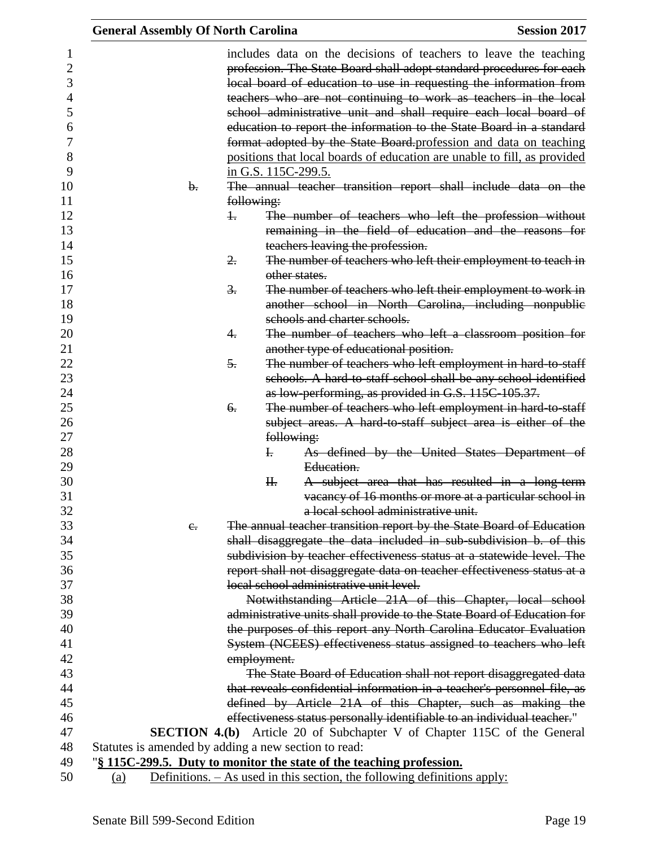|                                                                    | <b>General Assembly Of North Carolina</b> |                                                                                                                                                                          | <b>Session 2017</b>                                                                                                                                                                                                                                                                                                                                                                                                                                                                                                                                                                                                                               |
|--------------------------------------------------------------------|-------------------------------------------|--------------------------------------------------------------------------------------------------------------------------------------------------------------------------|---------------------------------------------------------------------------------------------------------------------------------------------------------------------------------------------------------------------------------------------------------------------------------------------------------------------------------------------------------------------------------------------------------------------------------------------------------------------------------------------------------------------------------------------------------------------------------------------------------------------------------------------------|
| 1<br>$\overline{c}$<br>3<br>4<br>5<br>6<br>7<br>8<br>9<br>10<br>11 | b.                                        | in G.S. 115C-299.5.<br>following:                                                                                                                                        | includes data on the decisions of teachers to leave the teaching<br>profession. The State Board shall adopt standard procedures for each<br>local board of education to use in requesting the information from<br>teachers who are not continuing to work as teachers in the local<br>school administrative unit and shall require each local board of<br>education to report the information to the State Board in a standard<br>format adopted by the State Board-profession and data on teaching<br>positions that local boards of education are unable to fill, as provided<br>The annual teacher transition report shall include data on the |
| 12<br>13<br>14                                                     |                                           | $\pm$<br>teachers leaving the profession.                                                                                                                                | The number of teachers who left the profession without<br>remaining in the field of education and the reasons for                                                                                                                                                                                                                                                                                                                                                                                                                                                                                                                                 |
| 15<br>16                                                           |                                           | 2.<br>other states.                                                                                                                                                      | The number of teachers who left their employment to teach in                                                                                                                                                                                                                                                                                                                                                                                                                                                                                                                                                                                      |
| 17<br>18<br>19                                                     |                                           | 3.<br>schools and charter schools.                                                                                                                                       | The number of teachers who left their employment to work in<br>another school in North Carolina, including nonpublic                                                                                                                                                                                                                                                                                                                                                                                                                                                                                                                              |
| 20<br>21                                                           |                                           | 4.<br>another type of educational position.                                                                                                                              | The number of teachers who left a classroom position for                                                                                                                                                                                                                                                                                                                                                                                                                                                                                                                                                                                          |
| 22<br>23<br>24                                                     |                                           | 5.                                                                                                                                                                       | The number of teachers who left employment in hard-to-staff<br>schools. A hard-to-staff school shall be any school identified<br>as low-performing, as provided in G.S. 115C-105.37.                                                                                                                                                                                                                                                                                                                                                                                                                                                              |
| 25<br>26<br>27                                                     |                                           | 6.<br>following:                                                                                                                                                         | The number of teachers who left employment in hard to staff<br>subject areas. A hard to staff subject area is either of the                                                                                                                                                                                                                                                                                                                                                                                                                                                                                                                       |
| 28<br>29<br>30                                                     |                                           | $\mathbf{I}$ .<br>Education.<br>H <sub>r</sub>                                                                                                                           | As defined by the United States Department of<br>A subject area that has resulted in a long-term                                                                                                                                                                                                                                                                                                                                                                                                                                                                                                                                                  |
| 31<br>32                                                           |                                           |                                                                                                                                                                          | vacancy of 16 months or more at a particular school in<br>a local school administrative unit.                                                                                                                                                                                                                                                                                                                                                                                                                                                                                                                                                     |
| 33<br>34                                                           | $e_{\cdot}$                               |                                                                                                                                                                          | The annual teacher transition report by the State Board of Education<br>shall disaggregate the data included in sub-subdivision b. of this                                                                                                                                                                                                                                                                                                                                                                                                                                                                                                        |
| 35<br>36<br>37                                                     |                                           | local school administrative unit level.                                                                                                                                  | subdivision by teacher effectiveness status at a statewide level. The<br>report shall not disaggregate data on teacher effectiveness status at a                                                                                                                                                                                                                                                                                                                                                                                                                                                                                                  |
| 38<br>39                                                           |                                           |                                                                                                                                                                          | Notwithstanding Article 21A of this Chapter, local school<br>administrative units shall provide to the State Board of Education for                                                                                                                                                                                                                                                                                                                                                                                                                                                                                                               |
| 40<br>41                                                           |                                           |                                                                                                                                                                          | the purposes of this report any North Carolina Educator Evaluation<br>System (NCEES) effectiveness status assigned to teachers who left                                                                                                                                                                                                                                                                                                                                                                                                                                                                                                           |
| 42<br>43                                                           |                                           | employment.                                                                                                                                                              | The State Board of Education shall not report disaggregated data                                                                                                                                                                                                                                                                                                                                                                                                                                                                                                                                                                                  |
| 44<br>45                                                           |                                           |                                                                                                                                                                          | that reveals confidential information in a teacher's personnel file, as                                                                                                                                                                                                                                                                                                                                                                                                                                                                                                                                                                           |
| 46<br>47                                                           |                                           |                                                                                                                                                                          | defined by Article 21A of this Chapter, such as making the<br>effectiveness status personally identifiable to an individual teacher."                                                                                                                                                                                                                                                                                                                                                                                                                                                                                                             |
| 48                                                                 |                                           | Statutes is amended by adding a new section to read:                                                                                                                     | <b>SECTION 4.(b)</b> Article 20 of Subchapter V of Chapter 115C of the General                                                                                                                                                                                                                                                                                                                                                                                                                                                                                                                                                                    |
| 49<br>50                                                           | (a)                                       | "\\$\\frac{115C-299.5}\) 115C-299.5. Duty to monitor the state of the teaching profession.<br>Definitions. $-$ As used in this section, the following definitions apply: |                                                                                                                                                                                                                                                                                                                                                                                                                                                                                                                                                                                                                                                   |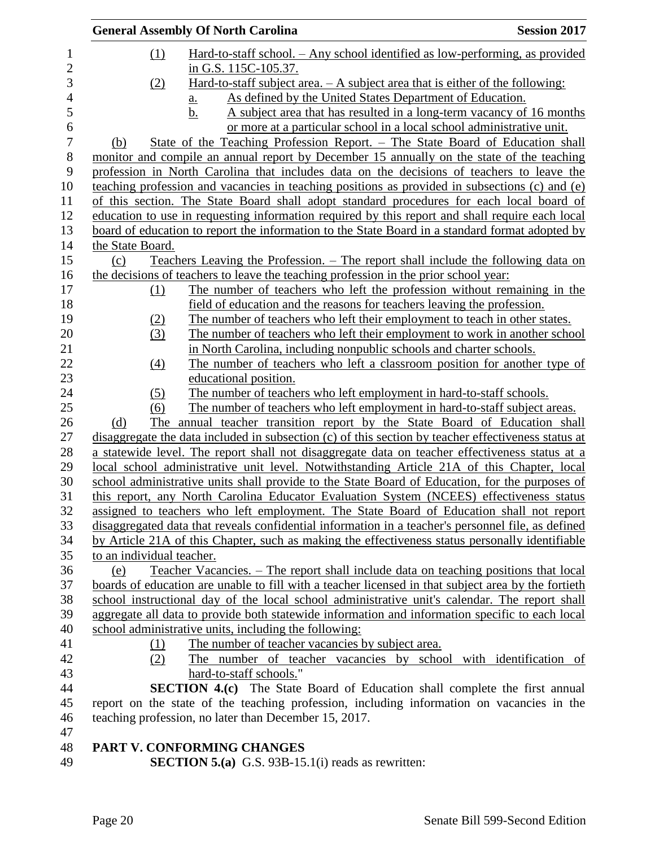|                           | <b>General Assembly Of North Carolina</b>                                                                                                                                                  | <b>Session 2017</b> |
|---------------------------|--------------------------------------------------------------------------------------------------------------------------------------------------------------------------------------------|---------------------|
| (1)                       | Hard-to-staff school. - Any school identified as low-performing, as provided                                                                                                               |                     |
|                           | in G.S. 115C-105.37.                                                                                                                                                                       |                     |
| (2)                       | Hard-to-staff subject area. $- A$ subject area that is either of the following:                                                                                                            |                     |
|                           | As defined by the United States Department of Education.<br>a.                                                                                                                             |                     |
|                           | b.<br>A subject area that has resulted in a long-term vacancy of 16 months                                                                                                                 |                     |
|                           | or more at a particular school in a local school administrative unit.                                                                                                                      |                     |
| (b)                       | State of the Teaching Profession Report. – The State Board of Education shall                                                                                                              |                     |
|                           | monitor and compile an annual report by December 15 annually on the state of the teaching                                                                                                  |                     |
|                           | profession in North Carolina that includes data on the decisions of teachers to leave the                                                                                                  |                     |
|                           | teaching profession and vacancies in teaching positions as provided in subsections (c) and (e)                                                                                             |                     |
|                           | of this section. The State Board shall adopt standard procedures for each local board of                                                                                                   |                     |
|                           | education to use in requesting information required by this report and shall require each local                                                                                            |                     |
|                           | board of education to report the information to the State Board in a standard format adopted by                                                                                            |                     |
| the State Board.          |                                                                                                                                                                                            |                     |
| (c)                       | Teachers Leaving the Profession. – The report shall include the following data on                                                                                                          |                     |
|                           | the decisions of teachers to leave the teaching profession in the prior school year:                                                                                                       |                     |
| (1)                       | The number of teachers who left the profession without remaining in the                                                                                                                    |                     |
|                           | field of education and the reasons for teachers leaving the profession.                                                                                                                    |                     |
| (2)                       | The number of teachers who left their employment to teach in other states.                                                                                                                 |                     |
| (3)                       | The number of teachers who left their employment to work in another school                                                                                                                 |                     |
|                           | in North Carolina, including nonpublic schools and charter schools.                                                                                                                        |                     |
| $\left(4\right)$          | The number of teachers who left a classroom position for another type of                                                                                                                   |                     |
|                           | educational position.                                                                                                                                                                      |                     |
| (5)                       | The number of teachers who left employment in hard-to-staff schools.                                                                                                                       |                     |
| (6)                       | The number of teachers who left employment in hard-to-staff subject areas.                                                                                                                 |                     |
| (d)                       | The annual teacher transition report by the State Board of Education shall                                                                                                                 |                     |
|                           | disaggregate the data included in subsection (c) of this section by teacher effectiveness status at                                                                                        |                     |
|                           | a statewide level. The report shall not disaggregate data on teacher effectiveness status at a                                                                                             |                     |
|                           | local school administrative unit level. Notwithstanding Article 21A of this Chapter, local                                                                                                 |                     |
|                           | school administrative units shall provide to the State Board of Education, for the purposes of                                                                                             |                     |
|                           | this report, any North Carolina Educator Evaluation System (NCEES) effectiveness status                                                                                                    |                     |
|                           | assigned to teachers who left employment. The State Board of Education shall not report                                                                                                    |                     |
|                           | disaggregated data that reveals confidential information in a teacher's personnel file, as defined                                                                                         |                     |
|                           | by Article 21A of this Chapter, such as making the effectiveness status personally identifiable                                                                                            |                     |
| to an individual teacher. |                                                                                                                                                                                            |                     |
| (e)                       | Teacher Vacancies. – The report shall include data on teaching positions that local<br>boards of education are unable to fill with a teacher licensed in that subject area by the fortieth |                     |
|                           | school instructional day of the local school administrative unit's calendar. The report shall                                                                                              |                     |
|                           | aggregate all data to provide both statewide information and information specific to each local                                                                                            |                     |
|                           | school administrative units, including the following:                                                                                                                                      |                     |
| (1)                       | The number of teacher vacancies by subject area.                                                                                                                                           |                     |
| (2)                       | The number of teacher vacancies by school with identification of                                                                                                                           |                     |
|                           | hard-to-staff schools."                                                                                                                                                                    |                     |
|                           | <b>SECTION 4.(c)</b> The State Board of Education shall complete the first annual                                                                                                          |                     |
|                           | report on the state of the teaching profession, including information on vacancies in the                                                                                                  |                     |
|                           | teaching profession, no later than December 15, 2017.                                                                                                                                      |                     |
|                           |                                                                                                                                                                                            |                     |
|                           | PART V. CONFORMING CHANGES                                                                                                                                                                 |                     |
|                           | <b>SECTION 5.(a)</b> G.S. 93B-15.1(i) reads as rewritten:                                                                                                                                  |                     |
|                           |                                                                                                                                                                                            |                     |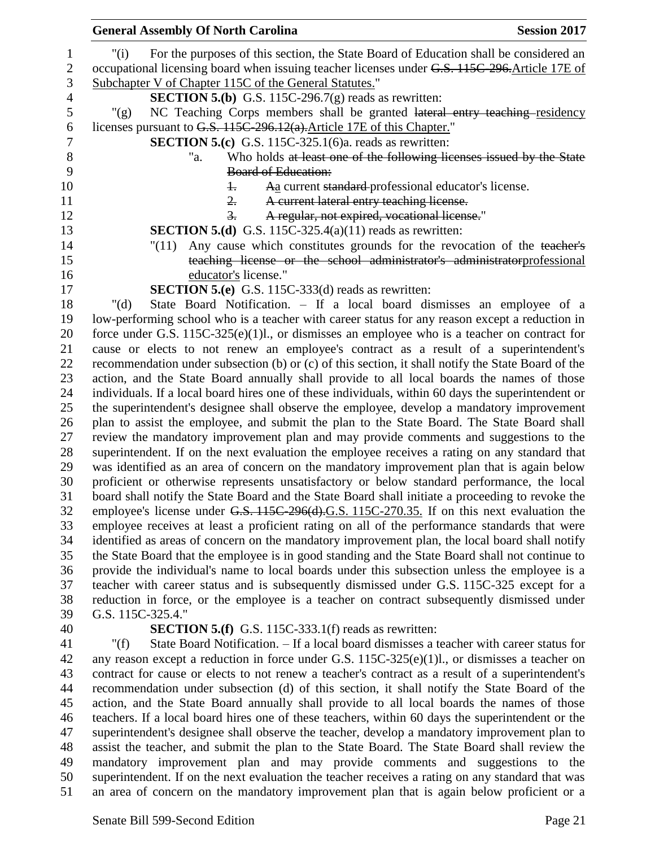| <b>General Assembly Of North Carolina</b>                               | <b>Session 2017</b>                                                                                |
|-------------------------------------------------------------------------|----------------------------------------------------------------------------------------------------|
| "(i)                                                                    | For the purposes of this section, the State Board of Education shall be considered an              |
|                                                                         | occupational licensing board when issuing teacher licenses under G.S. 115C-296. Article 17E of     |
| Subchapter V of Chapter 115C of the General Statutes."                  |                                                                                                    |
|                                                                         | <b>SECTION 5.(b)</b> G.S. 115C-296.7(g) reads as rewritten:                                        |
| " $(g)$                                                                 | NC Teaching Corps members shall be granted lateral entry teaching residency                        |
| licenses pursuant to G.S. 115C-296.12(a). Article 17E of this Chapter." |                                                                                                    |
|                                                                         | <b>SECTION 5.(c)</b> G.S. 115C-325.1(6)a. reads as rewritten:                                      |
| "a.                                                                     | Who holds at least one of the following licenses issued by the State                               |
| <b>Board of Education:</b>                                              |                                                                                                    |
| $\pm$                                                                   | Aa current standard professional educator's license.                                               |
| 2.                                                                      | A current lateral entry teaching license.                                                          |
| $\frac{3}{2}$ .                                                         | A regular, not expired, vocational license."                                                       |
|                                                                         | <b>SECTION 5.(d)</b> G.S. 115C-325.4(a)(11) reads as rewritten:                                    |
| "(11)                                                                   | Any cause which constitutes grounds for the revocation of the teacher's                            |
|                                                                         | teaching license or the school administrator's administratorprofessional                           |
| educator's license."                                                    |                                                                                                    |
| <b>SECTION 5.(e)</b> G.S. 115C-333(d) reads as rewritten:               |                                                                                                    |
| " $(d)$                                                                 | State Board Notification. - If a local board dismisses an employee of a                            |
|                                                                         | low-performing school who is a teacher with career status for any reason except a reduction in     |
|                                                                         | force under G.S. $115C-325(e)(1)l$ , or dismisses an employee who is a teacher on contract for     |
|                                                                         | cause or elects to not renew an employee's contract as a result of a superintendent's              |
|                                                                         | recommendation under subsection (b) or (c) of this section, it shall notify the State Board of the |
|                                                                         | action, and the State Board annually shall provide to all local boards the names of those          |
|                                                                         | individuals. If a local board hires one of these individuals, within 60 days the superintendent or |
|                                                                         | the superintendent's designee shall observe the employee, develop a mandatory improvement          |
|                                                                         | plan to assist the employee, and submit the plan to the State Board. The State Board shall         |
|                                                                         | review the mandatory improvement plan and may provide comments and suggestions to the              |
|                                                                         | superintendent. If on the next evaluation the employee receives a rating on any standard that      |
|                                                                         | was identified as an area of concern on the mandatory improvement plan that is again below         |
|                                                                         | proficient or otherwise represents unsatisfactory or below standard performance, the local         |
|                                                                         | board shall notify the State Board and the State Board shall initiate a proceeding to revoke the   |
|                                                                         | employee's license under G.S. 115C-296(d).G.S. 115C-270.35. If on this next evaluation the         |
|                                                                         | employee receives at least a proficient rating on all of the performance standards that were       |
|                                                                         | identified as areas of concern on the mandatory improvement plan, the local board shall notify     |
|                                                                         | the State Board that the employee is in good standing and the State Board shall not continue to    |
|                                                                         | provide the individual's name to local boards under this subsection unless the employee is a       |
|                                                                         | teacher with career status and is subsequently dismissed under G.S. 115C-325 except for a          |
|                                                                         | reduction in force, or the employee is a teacher on contract subsequently dismissed under          |
| G.S. 115C-325.4."                                                       |                                                                                                    |
| <b>SECTION 5.(f)</b> G.S. 115C-333.1(f) reads as rewritten:             |                                                                                                    |
| " $(f)$                                                                 | State Board Notification. - If a local board dismisses a teacher with career status for            |
|                                                                         | any reason except a reduction in force under G.S. $115C-325(e)(1)l$ , or dismisses a teacher on    |
|                                                                         | contract for cause or elects to not renew a teacher's contract as a result of a superintendent's   |
|                                                                         | recommendation under subsection (d) of this section, it shall notify the State Board of the        |
|                                                                         | action, and the State Board annually shall provide to all local boards the names of those          |
|                                                                         | teachers. If a local board hires one of these teachers, within 60 days the superintendent or the   |
|                                                                         | superintendent's designee shall observe the teacher, develop a mandatory improvement plan to       |
|                                                                         | assist the teacher, and submit the plan to the State Board. The State Board shall review the       |

 mandatory improvement plan and may provide comments and suggestions to the superintendent. If on the next evaluation the teacher receives a rating on any standard that was an area of concern on the mandatory improvement plan that is again below proficient or a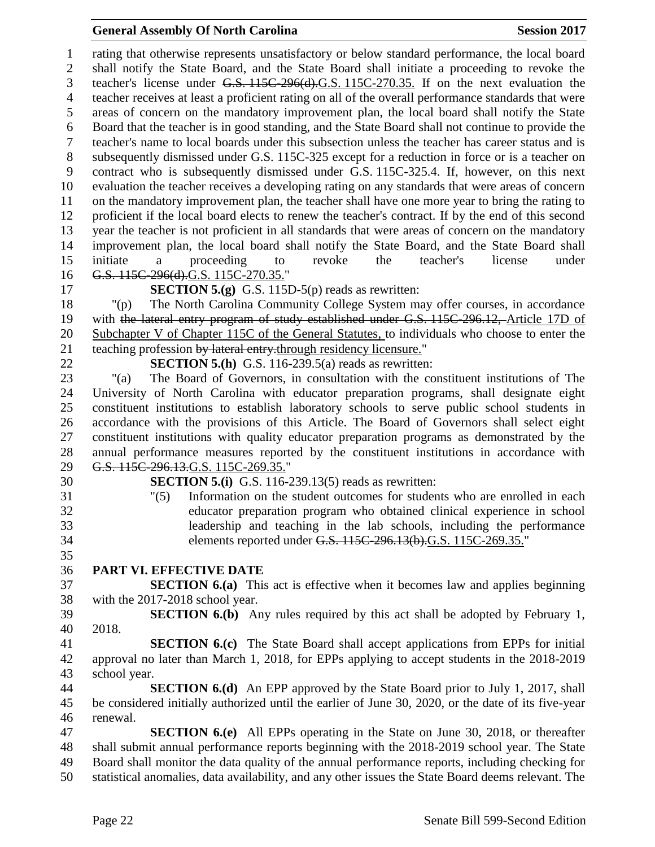#### **General Assembly Of North Carolina Session 2017**

 rating that otherwise represents unsatisfactory or below standard performance, the local board shall notify the State Board, and the State Board shall initiate a proceeding to revoke the teacher's license under G.S. 115C-296(d).G.S. 115C-270.35. If on the next evaluation the teacher receives at least a proficient rating on all of the overall performance standards that were areas of concern on the mandatory improvement plan, the local board shall notify the State Board that the teacher is in good standing, and the State Board shall not continue to provide the teacher's name to local boards under this subsection unless the teacher has career status and is subsequently dismissed under G.S. 115C-325 except for a reduction in force or is a teacher on contract who is subsequently dismissed under G.S. 115C-325.4. If, however, on this next evaluation the teacher receives a developing rating on any standards that were areas of concern on the mandatory improvement plan, the teacher shall have one more year to bring the rating to proficient if the local board elects to renew the teacher's contract. If by the end of this second year the teacher is not proficient in all standards that were areas of concern on the mandatory improvement plan, the local board shall notify the State Board, and the State Board shall initiate a proceeding to revoke the teacher's license under 16 G.S. 115C-296(d).G.S. 115C-270.35."

**SECTION 5.(g)** G.S. 115D-5(p) reads as rewritten:

 "(p) The North Carolina Community College System may offer courses, in accordance with the lateral entry program of study established under G.S. 115C-296.12, Article 17D of Subchapter V of Chapter 115C of the General Statutes, to individuals who choose to enter the 21 teaching profession by lateral entry, through residency licensure."

**SECTION 5.(h)** G.S. 116-239.5(a) reads as rewritten:

 "(a) The Board of Governors, in consultation with the constituent institutions of The University of North Carolina with educator preparation programs, shall designate eight constituent institutions to establish laboratory schools to serve public school students in accordance with the provisions of this Article. The Board of Governors shall select eight constituent institutions with quality educator preparation programs as demonstrated by the annual performance measures reported by the constituent institutions in accordance with G.S. 115C-296.13.G.S. 115C-269.35."

**SECTION 5.(i)** G.S. 116-239.13(5) reads as rewritten:

- "(5) Information on the student outcomes for students who are enrolled in each educator preparation program who obtained clinical experience in school leadership and teaching in the lab schools, including the performance elements reported under G.S. 115C-296.13(b).G.S. 115C-269.35."
- **PART VI. EFFECTIVE DATE**

 **SECTION 6.(a)** This act is effective when it becomes law and applies beginning with the 2017-2018 school year.

 **SECTION 6.(b)** Any rules required by this act shall be adopted by February 1, 2018.

 **SECTION 6.(c)** The State Board shall accept applications from EPPs for initial approval no later than March 1, 2018, for EPPs applying to accept students in the 2018-2019 school year.

 **SECTION 6.(d)** An EPP approved by the State Board prior to July 1, 2017, shall be considered initially authorized until the earlier of June 30, 2020, or the date of its five-year renewal.

 **SECTION 6.(e)** All EPPs operating in the State on June 30, 2018, or thereafter shall submit annual performance reports beginning with the 2018-2019 school year. The State Board shall monitor the data quality of the annual performance reports, including checking for statistical anomalies, data availability, and any other issues the State Board deems relevant. The